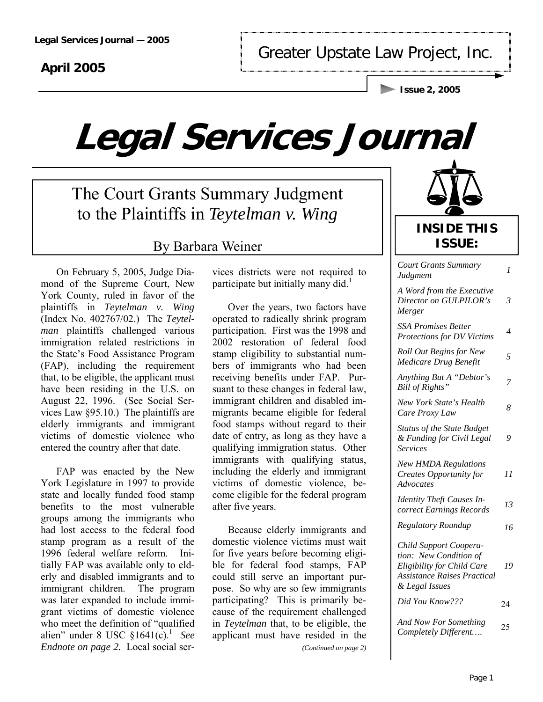### **April 2005**

Greater Upstate Law Project, Inc.

**Issue 2, 2005** 

# **Legal Services Journal**

The Court Grants Summary Judgment to the Plaintiffs in *Teytelman v. Wing* 

### By Barbara Weiner

 On February 5, 2005, Judge Diamond of the Supreme Court, New York County, ruled in favor of the plaintiffs in *Teytelman v. Wing*  (Index No. 402767/02.) The *Teytelman* plaintiffs challenged various immigration related restrictions in the State's Food Assistance Program (FAP), including the requirement that, to be eligible, the applicant must have been residing in the U.S. on August 22, 1996. (See Social Services Law §95.10.) The plaintiffs are elderly immigrants and immigrant victims of domestic violence who entered the country after that date.

 FAP was enacted by the New York Legislature in 1997 to provide state and locally funded food stamp benefits to the most vulnerable groups among the immigrants who had lost access to the federal food stamp program as a result of the 1996 federal welfare reform. Initially FAP was available only to elderly and disabled immigrants and to immigrant children. The program was later expanded to include immigrant victims of domestic violence who meet the definition of "qualified alien" under  $8 \text{ USC } \S 1641(c)$ .<sup>1</sup> See *Endnote on page 2.* Local social ser-

vices districts were not required to participate but initially many did.<sup>1</sup>

 Over the years, two factors have operated to radically shrink program participation. First was the 1998 and 2002 restoration of federal food stamp eligibility to substantial numbers of immigrants who had been receiving benefits under FAP. Pursuant to these changes in federal law, immigrant children and disabled immigrants became eligible for federal food stamps without regard to their date of entry, as long as they have a qualifying immigration status. Other immigrants with qualifying status, including the elderly and immigrant victims of domestic violence, become eligible for the federal program after five years.

 Because elderly immigrants and domestic violence victims must wait for five years before becoming eligible for federal food stamps, FAP could still serve an important purpose. So why are so few immigrants participating? This is primarily because of the requirement challenged in *Teytelman* that, to be eligible, the applicant must have resided in the *(Continued on page 2)* 

| <b>INSIDE THIS</b> |
|--------------------|
| <b>ISSUE:</b>      |

| <b>Court Grants Summary</b><br>Judgment                                                                                                | 1  |
|----------------------------------------------------------------------------------------------------------------------------------------|----|
| A Word from the Executive<br>Director on GULPILOR's<br>Merger                                                                          | 3  |
| <b>SSA Promises Better</b><br>Protections for DV Victims                                                                               | 4  |
| <b>Roll Out Begins for New</b><br>Medicare Drug Benefit                                                                                | 5  |
| Anything But A "Debtor's<br>Bill of Rights"                                                                                            | 7  |
| New York State's Health<br>Care Proxy Law                                                                                              | 8  |
| <b>Status of the State Budget</b><br>& Funding for Civil Legal<br><b>Services</b>                                                      | 9  |
| <b>New HMDA Regulations</b><br>Creates Opportunity for<br>Advocates                                                                    | 11 |
| <b>Identity Theft Causes In-</b><br>correct Earnings Records                                                                           | 13 |
| Regulatory Roundup                                                                                                                     | 16 |
| Child Support Coopera-<br>tion: New Condition of<br>Eligibility for Child Care<br><b>Assistance Raises Practical</b><br>& Legal Issues | 19 |
| Did You Know???                                                                                                                        | 24 |
| And Now For Something<br>Completely Different                                                                                          | 25 |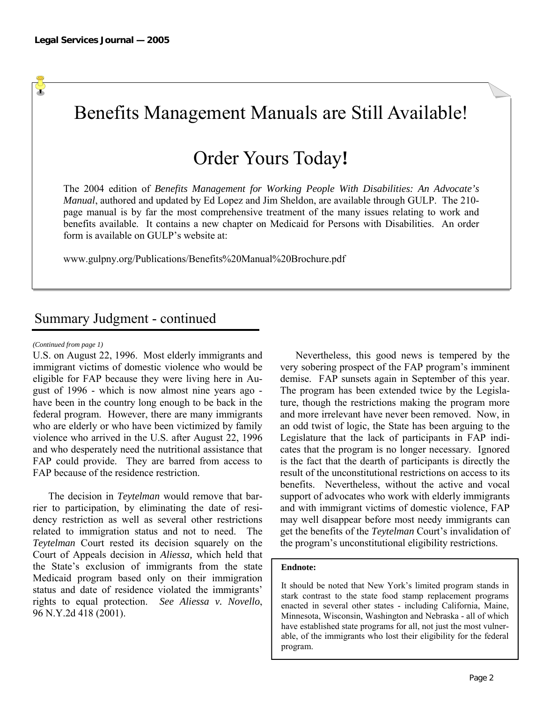$\Phi$ 

### Benefits Management Manuals are Still Available!

### Order Yours Today**!**

The 2004 edition of *Benefits Management for Working People With Disabilities: An Advocate's Manual*, authored and updated by Ed Lopez and Jim Sheldon, are available through GULP. The 210 page manual is by far the most comprehensive treatment of the many issues relating to work and benefits available. It contains a new chapter on Medicaid for Persons with Disabilities. An order form is available on GULP's website at:

www.gulpny.org/Publications/Benefits%20Manual%20Brochure.pdf

### Summary Judgment - continued

#### *(Continued from page 1)*

U.S. on August 22, 1996. Most elderly immigrants and immigrant victims of domestic violence who would be eligible for FAP because they were living here in August of 1996 - which is now almost nine years ago have been in the country long enough to be back in the federal program. However, there are many immigrants who are elderly or who have been victimized by family violence who arrived in the U.S. after August 22, 1996 and who desperately need the nutritional assistance that FAP could provide. They are barred from access to FAP because of the residence restriction.

 The decision in *Teytelman* would remove that barrier to participation, by eliminating the date of residency restriction as well as several other restrictions related to immigration status and not to need. The *Teytelman* Court rested its decision squarely on the Court of Appeals decision in *Aliessa,* which held that the State's exclusion of immigrants from the state Medicaid program based only on their immigration status and date of residence violated the immigrants' rights to equal protection. *See Aliessa v. Novello*, 96 N.Y.2d 418 (2001).

 Nevertheless, this good news is tempered by the very sobering prospect of the FAP program's imminent demise. FAP sunsets again in September of this year. The program has been extended twice by the Legislature, though the restrictions making the program more and more irrelevant have never been removed. Now, in an odd twist of logic, the State has been arguing to the Legislature that the lack of participants in FAP indicates that the program is no longer necessary. Ignored is the fact that the dearth of participants is directly the result of the unconstitutional restrictions on access to its benefits. Nevertheless, without the active and vocal support of advocates who work with elderly immigrants and with immigrant victims of domestic violence, FAP may well disappear before most needy immigrants can get the benefits of the *Teytelman* Court's invalidation of the program's unconstitutional eligibility restrictions.

#### **Endnote:**

It should be noted that New York's limited program stands in stark contrast to the state food stamp replacement programs enacted in several other states - including California, Maine, Minnesota, Wisconsin, Washington and Nebraska - all of which have established state programs for all, not just the most vulnerable, of the immigrants who lost their eligibility for the federal program.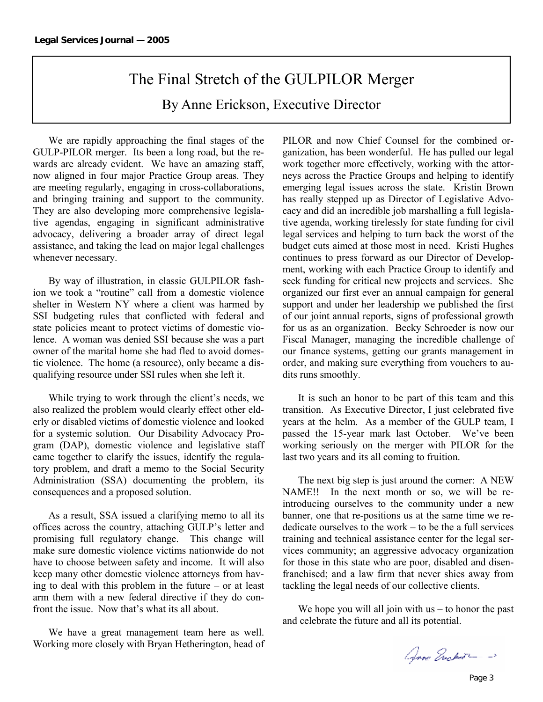### The Final Stretch of the GULPILOR Merger

By Anne Erickson, Executive Director

 We are rapidly approaching the final stages of the GULP-PILOR merger. Its been a long road, but the rewards are already evident. We have an amazing staff, now aligned in four major Practice Group areas. They are meeting regularly, engaging in cross-collaborations, and bringing training and support to the community. They are also developing more comprehensive legislative agendas, engaging in significant administrative advocacy, delivering a broader array of direct legal assistance, and taking the lead on major legal challenges whenever necessary.

 By way of illustration, in classic GULPILOR fashion we took a "routine" call from a domestic violence shelter in Western NY where a client was harmed by SSI budgeting rules that conflicted with federal and state policies meant to protect victims of domestic violence. A woman was denied SSI because she was a part owner of the marital home she had fled to avoid domestic violence. The home (a resource), only became a disqualifying resource under SSI rules when she left it.

 While trying to work through the client's needs, we also realized the problem would clearly effect other elderly or disabled victims of domestic violence and looked for a systemic solution. Our Disability Advocacy Program (DAP), domestic violence and legislative staff came together to clarify the issues, identify the regulatory problem, and draft a memo to the Social Security Administration (SSA) documenting the problem, its consequences and a proposed solution.

 As a result, SSA issued a clarifying memo to all its offices across the country, attaching GULP's letter and promising full regulatory change. This change will make sure domestic violence victims nationwide do not have to choose between safety and income. It will also keep many other domestic violence attorneys from having to deal with this problem in the future – or at least arm them with a new federal directive if they do confront the issue. Now that's what its all about.

 We have a great management team here as well. Working more closely with Bryan Hetherington, head of PILOR and now Chief Counsel for the combined organization, has been wonderful. He has pulled our legal work together more effectively, working with the attorneys across the Practice Groups and helping to identify emerging legal issues across the state. Kristin Brown has really stepped up as Director of Legislative Advocacy and did an incredible job marshalling a full legislative agenda, working tirelessly for state funding for civil legal services and helping to turn back the worst of the budget cuts aimed at those most in need. Kristi Hughes continues to press forward as our Director of Development, working with each Practice Group to identify and seek funding for critical new projects and services. She organized our first ever an annual campaign for general support and under her leadership we published the first of our joint annual reports, signs of professional growth for us as an organization. Becky Schroeder is now our Fiscal Manager, managing the incredible challenge of our finance systems, getting our grants management in order, and making sure everything from vouchers to audits runs smoothly.

 It is such an honor to be part of this team and this transition. As Executive Director, I just celebrated five years at the helm. As a member of the GULP team, I passed the 15-year mark last October. We've been working seriously on the merger with PILOR for the last two years and its all coming to fruition.

 The next big step is just around the corner: A NEW NAME!! In the next month or so, we will be reintroducing ourselves to the community under a new banner, one that re-positions us at the same time we rededicate ourselves to the work – to be the a full services training and technical assistance center for the legal services community; an aggressive advocacy organization for those in this state who are poor, disabled and disenfranchised; and a law firm that never shies away from tackling the legal needs of our collective clients.

We hope you will all join with  $us - to$  honor the past and celebrate the future and all its potential.

Anna Erichart - ->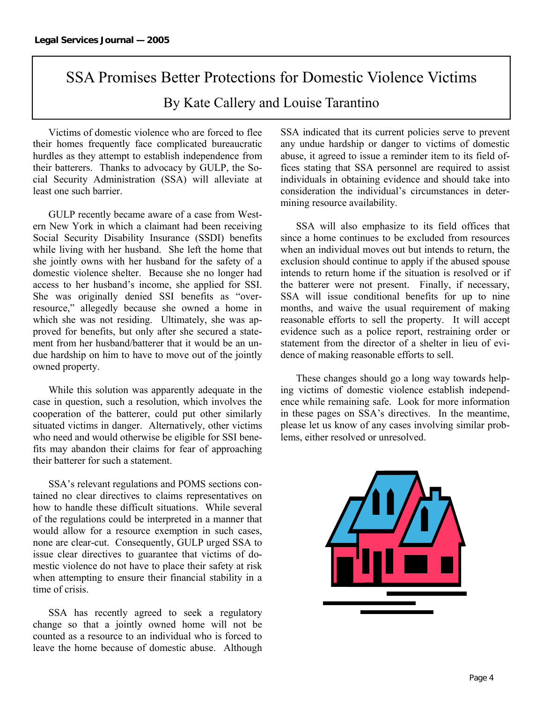### SSA Promises Better Protections for Domestic Violence Victims By Kate Callery and Louise Tarantino

 Victims of domestic violence who are forced to flee their homes frequently face complicated bureaucratic hurdles as they attempt to establish independence from their batterers. Thanks to advocacy by GULP, the Social Security Administration (SSA) will alleviate at least one such barrier.

 GULP recently became aware of a case from Western New York in which a claimant had been receiving Social Security Disability Insurance (SSDI) benefits while living with her husband. She left the home that she jointly owns with her husband for the safety of a domestic violence shelter. Because she no longer had access to her husband's income, she applied for SSI. She was originally denied SSI benefits as "overresource," allegedly because she owned a home in which she was not residing. Ultimately, she was approved for benefits, but only after she secured a statement from her husband/batterer that it would be an undue hardship on him to have to move out of the jointly owned property.

 While this solution was apparently adequate in the case in question, such a resolution, which involves the cooperation of the batterer, could put other similarly situated victims in danger. Alternatively, other victims who need and would otherwise be eligible for SSI benefits may abandon their claims for fear of approaching their batterer for such a statement.

 SSA's relevant regulations and POMS sections contained no clear directives to claims representatives on how to handle these difficult situations. While several of the regulations could be interpreted in a manner that would allow for a resource exemption in such cases, none are clear-cut. Consequently, GULP urged SSA to issue clear directives to guarantee that victims of domestic violence do not have to place their safety at risk when attempting to ensure their financial stability in a time of crisis.

 SSA has recently agreed to seek a regulatory change so that a jointly owned home will not be counted as a resource to an individual who is forced to leave the home because of domestic abuse. Although SSA indicated that its current policies serve to prevent any undue hardship or danger to victims of domestic abuse, it agreed to issue a reminder item to its field offices stating that SSA personnel are required to assist individuals in obtaining evidence and should take into consideration the individual's circumstances in determining resource availability.

 SSA will also emphasize to its field offices that since a home continues to be excluded from resources when an individual moves out but intends to return, the exclusion should continue to apply if the abused spouse intends to return home if the situation is resolved or if the batterer were not present. Finally, if necessary, SSA will issue conditional benefits for up to nine months, and waive the usual requirement of making reasonable efforts to sell the property. It will accept evidence such as a police report, restraining order or statement from the director of a shelter in lieu of evidence of making reasonable efforts to sell.

 These changes should go a long way towards helping victims of domestic violence establish independence while remaining safe. Look for more information in these pages on SSA's directives. In the meantime, please let us know of any cases involving similar problems, either resolved or unresolved.

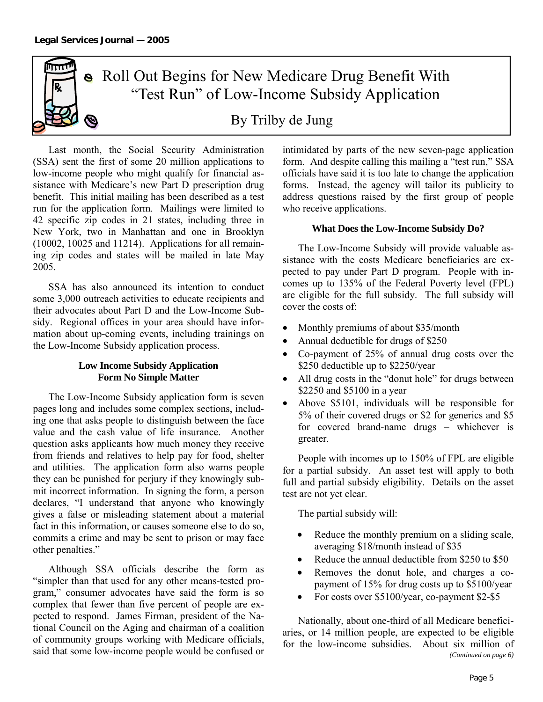mm

### • Roll Out Begins for New Medicare Drug Benefit With "Test Run" of Low-Income Subsidy Application

By Trilby de Jung

 Last month, the Social Security Administration (SSA) sent the first of some 20 million applications to low-income people who might qualify for financial assistance with Medicare's new Part D prescription drug benefit. This initial mailing has been described as a test run for the application form. Mailings were limited to 42 specific zip codes in 21 states, including three in New York, two in Manhattan and one in Brooklyn (10002, 10025 and 11214). Applications for all remaining zip codes and states will be mailed in late May 2005.

 SSA has also announced its intention to conduct some 3,000 outreach activities to educate recipients and their advocates about Part D and the Low-Income Subsidy. Regional offices in your area should have information about up-coming events, including trainings on the Low-Income Subsidy application process.

### **Low Income Subsidy Application Form No Simple Matter**

 The Low-Income Subsidy application form is seven pages long and includes some complex sections, including one that asks people to distinguish between the face value and the cash value of life insurance. Another question asks applicants how much money they receive from friends and relatives to help pay for food, shelter and utilities. The application form also warns people they can be punished for perjury if they knowingly submit incorrect information. In signing the form, a person declares, "I understand that anyone who knowingly gives a false or misleading statement about a material fact in this information, or causes someone else to do so, commits a crime and may be sent to prison or may face other penalties."

 Although SSA officials describe the form as "simpler than that used for any other means-tested program," consumer advocates have said the form is so complex that fewer than five percent of people are expected to respond. James Firman, president of the National Council on the Aging and chairman of a coalition of community groups working with Medicare officials, said that some low-income people would be confused or

intimidated by parts of the new seven-page application form. And despite calling this mailing a "test run," SSA officials have said it is too late to change the application forms. Instead, the agency will tailor its publicity to address questions raised by the first group of people who receive applications.

#### **What Does the Low-Income Subsidy Do?**

 The Low-Income Subsidy will provide valuable assistance with the costs Medicare beneficiaries are expected to pay under Part D program. People with incomes up to 135% of the Federal Poverty level (FPL) are eligible for the full subsidy. The full subsidy will cover the costs of:

- Monthly premiums of about \$35/month
- Annual deductible for drugs of \$250
- Co-payment of 25% of annual drug costs over the \$250 deductible up to \$2250/year
- All drug costs in the "donut hole" for drugs between \$2250 and \$5100 in a year
- Above \$5101, individuals will be responsible for 5% of their covered drugs or \$2 for generics and \$5 for covered brand-name drugs – whichever is greater.

 People with incomes up to 150% of FPL are eligible for a partial subsidy. An asset test will apply to both full and partial subsidy eligibility. Details on the asset test are not yet clear.

The partial subsidy will:

- Reduce the monthly premium on a sliding scale, averaging \$18/month instead of \$35
- Reduce the annual deductible from \$250 to \$50
- Removes the donut hole, and charges a copayment of 15% for drug costs up to \$5100/year
- For costs over \$5100/year, co-payment \$2-\$5

 Nationally, about one-third of all Medicare beneficiaries, or 14 million people, are expected to be eligible for the low-income subsidies. About six million of *(Continued on page 6)*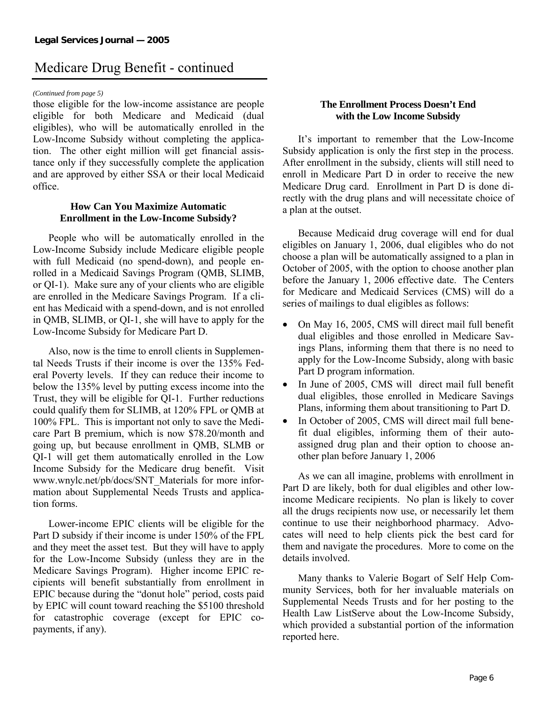### Medicare Drug Benefit - continued

#### *(Continued from page 5)*

those eligible for the low-income assistance are people eligible for both Medicare and Medicaid (dual eligibles), who will be automatically enrolled in the Low-Income Subsidy without completing the application. The other eight million will get financial assistance only if they successfully complete the application and are approved by either SSA or their local Medicaid office.

#### **How Can You Maximize Automatic Enrollment in the Low-Income Subsidy?**

 People who will be automatically enrolled in the Low-Income Subsidy include Medicare eligible people with full Medicaid (no spend-down), and people enrolled in a Medicaid Savings Program (QMB, SLIMB, or QI-1). Make sure any of your clients who are eligible are enrolled in the Medicare Savings Program. If a client has Medicaid with a spend-down, and is not enrolled in QMB, SLIMB, or QI-1, she will have to apply for the Low-Income Subsidy for Medicare Part D.

 Also, now is the time to enroll clients in Supplemental Needs Trusts if their income is over the 135% Federal Poverty levels. If they can reduce their income to below the 135% level by putting excess income into the Trust, they will be eligible for QI-1. Further reductions could qualify them for SLIMB, at 120% FPL or QMB at 100% FPL. This is important not only to save the Medicare Part B premium, which is now \$78.20/month and going up, but because enrollment in QMB, SLMB or QI-1 will get them automatically enrolled in the Low Income Subsidy for the Medicare drug benefit. Visit www.wnylc.net/pb/docs/SNT\_Materials for more information about Supplemental Needs Trusts and application forms.

 Lower-income EPIC clients will be eligible for the Part D subsidy if their income is under 150% of the FPL and they meet the asset test. But they will have to apply for the Low-Income Subsidy (unless they are in the Medicare Savings Program). Higher income EPIC recipients will benefit substantially from enrollment in EPIC because during the "donut hole" period, costs paid by EPIC will count toward reaching the \$5100 threshold for catastrophic coverage (except for EPIC copayments, if any).

### **The Enrollment Process Doesn't End with the Low Income Subsidy**

 It's important to remember that the Low-Income Subsidy application is only the first step in the process. After enrollment in the subsidy, clients will still need to enroll in Medicare Part D in order to receive the new Medicare Drug card. Enrollment in Part D is done directly with the drug plans and will necessitate choice of a plan at the outset.

 Because Medicaid drug coverage will end for dual eligibles on January 1, 2006, dual eligibles who do not choose a plan will be automatically assigned to a plan in October of 2005, with the option to choose another plan before the January 1, 2006 effective date. The Centers for Medicare and Medicaid Services (CMS) will do a series of mailings to dual eligibles as follows:

- On May 16, 2005, CMS will direct mail full benefit dual eligibles and those enrolled in Medicare Savings Plans, informing them that there is no need to apply for the Low-Income Subsidy, along with basic Part D program information.
- In June of 2005, CMS will direct mail full benefit dual eligibles, those enrolled in Medicare Savings Plans, informing them about transitioning to Part D.
- In October of 2005, CMS will direct mail full benefit dual eligibles, informing them of their autoassigned drug plan and their option to choose another plan before January 1, 2006

 As we can all imagine, problems with enrollment in Part D are likely, both for dual eligibles and other lowincome Medicare recipients. No plan is likely to cover all the drugs recipients now use, or necessarily let them continue to use their neighborhood pharmacy. Advocates will need to help clients pick the best card for them and navigate the procedures. More to come on the details involved.

 Many thanks to Valerie Bogart of Self Help Community Services, both for her invaluable materials on Supplemental Needs Trusts and for her posting to the Health Law ListServe about the Low-Income Subsidy, which provided a substantial portion of the information reported here.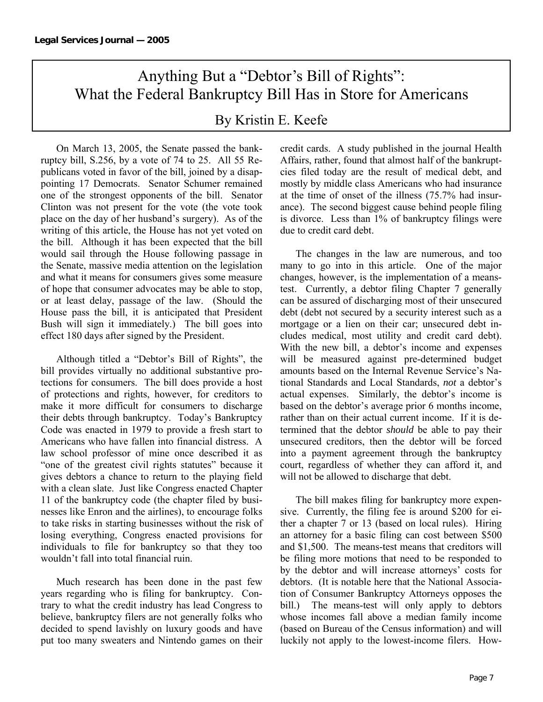### Anything But a "Debtor's Bill of Rights": What the Federal Bankruptcy Bill Has in Store for Americans

By Kristin E. Keefe

 On March 13, 2005, the Senate passed the bankruptcy bill, S.256, by a vote of 74 to 25. All 55 Republicans voted in favor of the bill, joined by a disappointing 17 Democrats. Senator Schumer remained one of the strongest opponents of the bill. Senator Clinton was not present for the vote (the vote took place on the day of her husband's surgery). As of the writing of this article, the House has not yet voted on the bill. Although it has been expected that the bill would sail through the House following passage in the Senate, massive media attention on the legislation and what it means for consumers gives some measure of hope that consumer advocates may be able to stop, or at least delay, passage of the law. (Should the House pass the bill, it is anticipated that President Bush will sign it immediately.) The bill goes into effect 180 days after signed by the President.

 Although titled a "Debtor's Bill of Rights", the bill provides virtually no additional substantive protections for consumers. The bill does provide a host of protections and rights, however, for creditors to make it more difficult for consumers to discharge their debts through bankruptcy. Today's Bankruptcy Code was enacted in 1979 to provide a fresh start to Americans who have fallen into financial distress. A law school professor of mine once described it as "one of the greatest civil rights statutes" because it gives debtors a chance to return to the playing field with a clean slate. Just like Congress enacted Chapter 11 of the bankruptcy code (the chapter filed by businesses like Enron and the airlines), to encourage folks to take risks in starting businesses without the risk of losing everything, Congress enacted provisions for individuals to file for bankruptcy so that they too wouldn't fall into total financial ruin.

Much research has been done in the past few years regarding who is filing for bankruptcy. Contrary to what the credit industry has lead Congress to believe, bankruptcy filers are not generally folks who decided to spend lavishly on luxury goods and have put too many sweaters and Nintendo games on their credit cards. A study published in the journal Health Affairs, rather, found that almost half of the bankruptcies filed today are the result of medical debt, and mostly by middle class Americans who had insurance at the time of onset of the illness (75.7% had insurance). The second biggest cause behind people filing is divorce. Less than 1% of bankruptcy filings were due to credit card debt.

The changes in the law are numerous, and too many to go into in this article. One of the major changes, however, is the implementation of a meanstest. Currently, a debtor filing Chapter 7 generally can be assured of discharging most of their unsecured debt (debt not secured by a security interest such as a mortgage or a lien on their car; unsecured debt includes medical, most utility and credit card debt). With the new bill, a debtor's income and expenses will be measured against pre-determined budget amounts based on the Internal Revenue Service's National Standards and Local Standards, *not* a debtor's actual expenses. Similarly, the debtor's income is based on the debtor's average prior 6 months income, rather than on their actual current income. If it is determined that the debtor *should* be able to pay their unsecured creditors, then the debtor will be forced into a payment agreement through the bankruptcy court, regardless of whether they can afford it, and will not be allowed to discharge that debt.

The bill makes filing for bankruptcy more expensive. Currently, the filing fee is around \$200 for either a chapter 7 or 13 (based on local rules). Hiring an attorney for a basic filing can cost between \$500 and \$1,500. The means-test means that creditors will be filing more motions that need to be responded to by the debtor and will increase attorneys' costs for debtors. (It is notable here that the National Association of Consumer Bankruptcy Attorneys opposes the bill.) The means-test will only apply to debtors whose incomes fall above a median family income (based on Bureau of the Census information) and will luckily not apply to the lowest-income filers. How-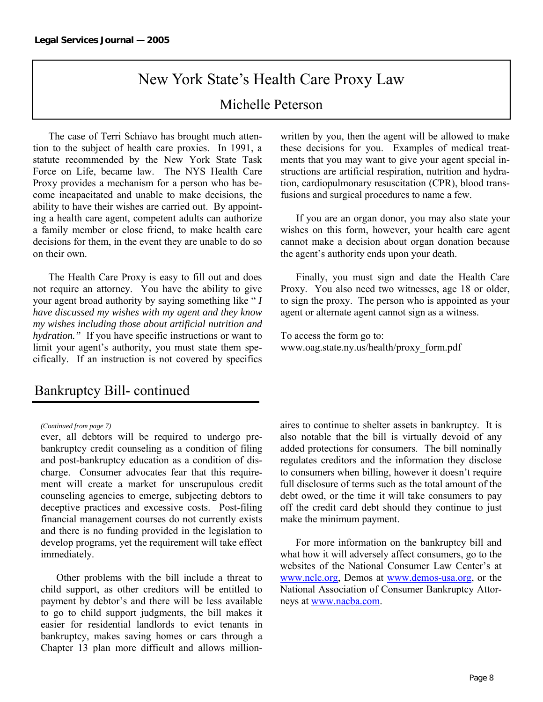# New York State's Health Care Proxy Law

### Michelle Peterson

 The case of Terri Schiavo has brought much attention to the subject of health care proxies. In 1991, a statute recommended by the New York State Task Force on Life, became law. The NYS Health Care Proxy provides a mechanism for a person who has become incapacitated and unable to make decisions, the ability to have their wishes are carried out. By appointing a health care agent, competent adults can authorize a family member or close friend, to make health care decisions for them, in the event they are unable to do so on their own.

 The Health Care Proxy is easy to fill out and does not require an attorney. You have the ability to give your agent broad authority by saying something like " *I have discussed my wishes with my agent and they know my wishes including those about artificial nutrition and hydration."* If you have specific instructions or want to limit your agent's authority, you must state them specifically. If an instruction is not covered by specifics

### Bankruptcy Bill- continued

#### *(Continued from page 7)*

ever, all debtors will be required to undergo prebankruptcy credit counseling as a condition of filing and post-bankruptcy education as a condition of discharge. Consumer advocates fear that this requirement will create a market for unscrupulous credit counseling agencies to emerge, subjecting debtors to deceptive practices and excessive costs. Post-filing financial management courses do not currently exists and there is no funding provided in the legislation to develop programs, yet the requirement will take effect immediately.

Other problems with the bill include a threat to child support, as other creditors will be entitled to payment by debtor's and there will be less available to go to child support judgments, the bill makes it easier for residential landlords to evict tenants in bankruptcy, makes saving homes or cars through a Chapter 13 plan more difficult and allows millionwritten by you, then the agent will be allowed to make these decisions for you. Examples of medical treatments that you may want to give your agent special instructions are artificial respiration, nutrition and hydration, cardiopulmonary resuscitation (CPR), blood transfusions and surgical procedures to name a few.

 If you are an organ donor, you may also state your wishes on this form, however, your health care agent cannot make a decision about organ donation because the agent's authority ends upon your death.

 Finally, you must sign and date the Health Care Proxy. You also need two witnesses, age 18 or older, to sign the proxy. The person who is appointed as your agent or alternate agent cannot sign as a witness.

To access the form go to: www.oag.state.ny.us/health/proxy\_form.pdf

aires to continue to shelter assets in bankruptcy. It is also notable that the bill is virtually devoid of any added protections for consumers. The bill nominally regulates creditors and the information they disclose to consumers when billing, however it doesn't require full disclosure of terms such as the total amount of the debt owed, or the time it will take consumers to pay off the credit card debt should they continue to just make the minimum payment.

For more information on the bankruptcy bill and what how it will adversely affect consumers, go to the websites of the National Consumer Law Center's at www.nclc.org, Demos at www.demos-usa.org, or the National Association of Consumer Bankruptcy Attorneys at www.nacba.com.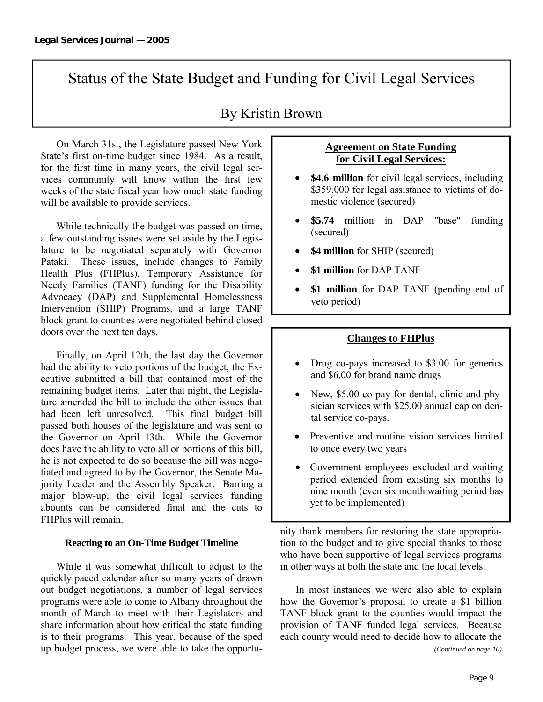### Status of the State Budget and Funding for Civil Legal Services

### By Kristin Brown

On March 31st, the Legislature passed New York State's first on-time budget since 1984. As a result, for the first time in many years, the civil legal services community will know within the first few weeks of the state fiscal year how much state funding will be available to provide services.

While technically the budget was passed on time, a few outstanding issues were set aside by the Legislature to be negotiated separately with Governor Pataki. These issues, include changes to Family Health Plus (FHPlus), Temporary Assistance for Needy Families (TANF) funding for the Disability Advocacy (DAP) and Supplemental Homelessness Intervention (SHIP) Programs, and a large TANF block grant to counties were negotiated behind closed doors over the next ten days.

Finally, on April 12th, the last day the Governor had the ability to veto portions of the budget, the Executive submitted a bill that contained most of the remaining budget items. Later that night, the Legislature amended the bill to include the other issues that had been left unresolved. This final budget bill passed both houses of the legislature and was sent to the Governor on April 13th. While the Governor does have the ability to veto all or portions of this bill, he is not expected to do so because the bill was negotiated and agreed to by the Governor, the Senate Majority Leader and the Assembly Speaker. Barring a major blow-up, the civil legal services funding abounts can be considered final and the cuts to FHPlus will remain.

#### **Reacting to an On-Time Budget Timeline**

While it was somewhat difficult to adjust to the quickly paced calendar after so many years of drawn out budget negotiations, a number of legal services programs were able to come to Albany throughout the month of March to meet with their Legislators and share information about how critical the state funding is to their programs. This year, because of the sped up budget process, we were able to take the opportu-

### **Agreement on State Funding for Civil Legal Services:**

- **\$4.6 million** for civil legal services, including \$359,000 for legal assistance to victims of domestic violence (secured)
- **\$5.74** million in DAP "base" funding (secured)
- **\$4 million** for SHIP (secured)
- **\$1 million** for DAP TANF
- **\$1 million** for DAP TANF (pending end of veto period)

#### **Changes to FHPlus**

- Drug co-pays increased to \$3.00 for generics and \$6.00 for brand name drugs
- New, \$5.00 co-pay for dental, clinic and physician services with \$25.00 annual cap on dental service co-pays.
- Preventive and routine vision services limited to once every two years
- Government employees excluded and waiting period extended from existing six months to nine month (even six month waiting period has yet to be implemented)

nity thank members for restoring the state appropriation to the budget and to give special thanks to those who have been supportive of legal services programs in other ways at both the state and the local levels.

In most instances we were also able to explain how the Governor's proposal to create a \$1 billion TANF block grant to the counties would impact the provision of TANF funded legal services. Because each county would need to decide how to allocate the *(Continued on page 10)*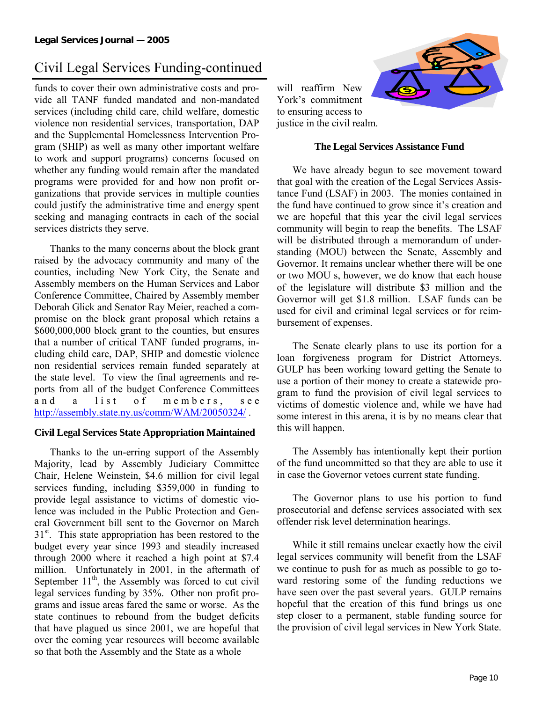### Civil Legal Services Funding-continued

funds to cover their own administrative costs and provide all TANF funded mandated and non-mandated services (including child care, child welfare, domestic violence non residential services, transportation, DAP and the Supplemental Homelessness Intervention Program (SHIP) as well as many other important welfare to work and support programs) concerns focused on whether any funding would remain after the mandated programs were provided for and how non profit organizations that provide services in multiple counties could justify the administrative time and energy spent seeking and managing contracts in each of the social services districts they serve.

Thanks to the many concerns about the block grant raised by the advocacy community and many of the counties, including New York City, the Senate and Assembly members on the Human Services and Labor Conference Committee, Chaired by Assembly member Deborah Glick and Senator Ray Meier, reached a compromise on the block grant proposal which retains a \$600,000,000 block grant to the counties, but ensures that a number of critical TANF funded programs, including child care, DAP, SHIP and domestic violence non residential services remain funded separately at the state level. To view the final agreements and reports from all of the budget Conference Committees and a list of members, see http://assembly.state.ny.us/comm/WAM/20050324/.

#### **Civil Legal Services State Appropriation Maintained**

Thanks to the un-erring support of the Assembly Majority, lead by Assembly Judiciary Committee Chair, Helene Weinstein, \$4.6 million for civil legal services funding, including \$359,000 in funding to provide legal assistance to victims of domestic violence was included in the Public Protection and General Government bill sent to the Governor on March  $31<sup>st</sup>$ . This state appropriation has been restored to the budget every year since 1993 and steadily increased through 2000 where it reached a high point at \$7.4 million. Unfortunately in 2001, in the aftermath of September  $11<sup>th</sup>$ , the Assembly was forced to cut civil legal services funding by 35%. Other non profit programs and issue areas fared the same or worse. As the state continues to rebound from the budget deficits that have plagued us since 2001, we are hopeful that over the coming year resources will become available so that both the Assembly and the State as a whole



will reaffirm New York's commitment to ensuring access to justice in the civil realm.

#### **The Legal Services Assistance Fund**

We have already begun to see movement toward that goal with the creation of the Legal Services Assistance Fund (LSAF) in 2003. The monies contained in the fund have continued to grow since it's creation and we are hopeful that this year the civil legal services community will begin to reap the benefits. The LSAF will be distributed through a memorandum of understanding (MOU) between the Senate, Assembly and Governor. It remains unclear whether there will be one or two MOU s, however, we do know that each house of the legislature will distribute \$3 million and the Governor will get \$1.8 million. LSAF funds can be used for civil and criminal legal services or for reimbursement of expenses.

The Senate clearly plans to use its portion for a loan forgiveness program for District Attorneys. GULP has been working toward getting the Senate to use a portion of their money to create a statewide program to fund the provision of civil legal services to victims of domestic violence and, while we have had some interest in this arena, it is by no means clear that this will happen.

The Assembly has intentionally kept their portion of the fund uncommitted so that they are able to use it in case the Governor vetoes current state funding.

The Governor plans to use his portion to fund prosecutorial and defense services associated with sex offender risk level determination hearings.

While it still remains unclear exactly how the civil legal services community will benefit from the LSAF we continue to push for as much as possible to go toward restoring some of the funding reductions we have seen over the past several years. GULP remains hopeful that the creation of this fund brings us one step closer to a permanent, stable funding source for the provision of civil legal services in New York State.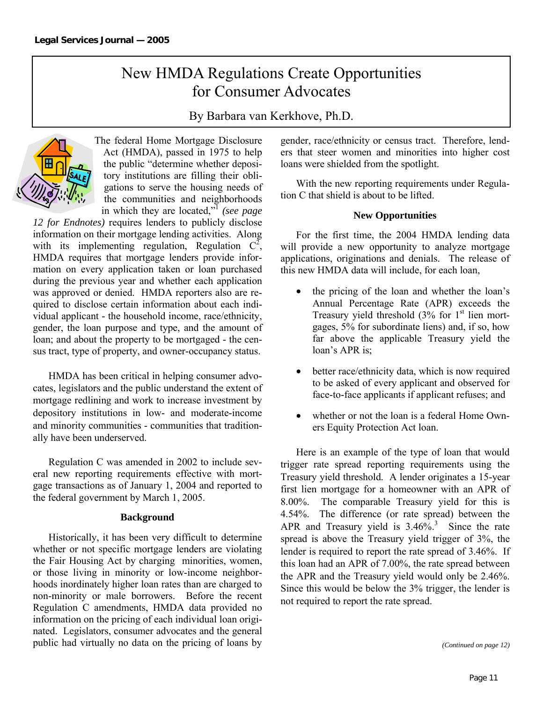### New HMDA Regulations Create Opportunities for Consumer Advocates

### By Barbara van Kerkhove, Ph.D.



The federal Home Mortgage Disclosure Act (HMDA), passed in 1975 to help the public "determine whether depository institutions are filling their obligations to serve the housing needs of the communities and neighborhoods in which they are located,"1 *(see page* 

*12 for Endnotes)* requires lenders to publicly disclose information on their mortgage lending activities. Along with its implementing regulation, Regulation  $C^2$ , HMDA requires that mortgage lenders provide information on every application taken or loan purchased during the previous year and whether each application was approved or denied. HMDA reporters also are required to disclose certain information about each individual applicant - the household income, race/ethnicity, gender, the loan purpose and type, and the amount of loan; and about the property to be mortgaged - the census tract, type of property, and owner-occupancy status.

 HMDA has been critical in helping consumer advocates, legislators and the public understand the extent of mortgage redlining and work to increase investment by depository institutions in low- and moderate-income and minority communities - communities that traditionally have been underserved.

 Regulation C was amended in 2002 to include several new reporting requirements effective with mortgage transactions as of January 1, 2004 and reported to the federal government by March 1, 2005.

#### **Background**

 Historically, it has been very difficult to determine whether or not specific mortgage lenders are violating the Fair Housing Act by charging minorities, women, or those living in minority or low-income neighborhoods inordinately higher loan rates than are charged to non-minority or male borrowers. Before the recent Regulation C amendments, HMDA data provided no information on the pricing of each individual loan originated. Legislators, consumer advocates and the general public had virtually no data on the pricing of loans by gender, race/ethnicity or census tract. Therefore, lenders that steer women and minorities into higher cost loans were shielded from the spotlight.

 With the new reporting requirements under Regulation C that shield is about to be lifted.

#### **New Opportunities**

 For the first time, the 2004 HMDA lending data will provide a new opportunity to analyze mortgage applications, originations and denials. The release of this new HMDA data will include, for each loan,

- the pricing of the loan and whether the loan's Annual Percentage Rate (APR) exceeds the Treasury yield threshold  $(3\%$  for 1<sup>st</sup> lien mortgages, 5% for subordinate liens) and, if so, how far above the applicable Treasury yield the loan's APR is;
- better race/ethnicity data, which is now required to be asked of every applicant and observed for face-to-face applicants if applicant refuses; and
- whether or not the loan is a federal Home Owners Equity Protection Act loan.

 Here is an example of the type of loan that would trigger rate spread reporting requirements using the Treasury yield threshold. A lender originates a 15-year first lien mortgage for a homeowner with an APR of 8.00%. The comparable Treasury yield for this is 4.54%. The difference (or rate spread) between the APR and Treasury yield is  $3.46\%$ <sup>3</sup>. Since the rate spread is above the Treasury yield trigger of 3%, the lender is required to report the rate spread of 3.46%. If this loan had an APR of 7.00%, the rate spread between the APR and the Treasury yield would only be 2.46%. Since this would be below the 3% trigger, the lender is not required to report the rate spread.

*(Continued on page 12)*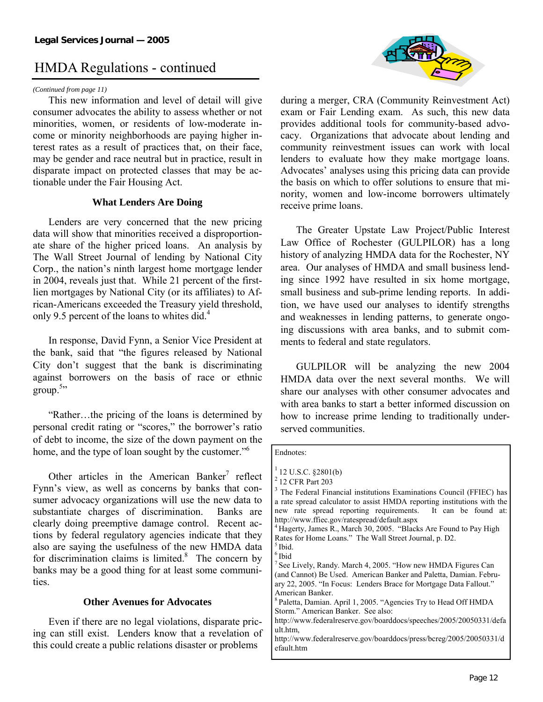### HMDA Regulations - continued

#### *(Continued from page 11)*

 This new information and level of detail will give consumer advocates the ability to assess whether or not minorities, women, or residents of low-moderate income or minority neighborhoods are paying higher interest rates as a result of practices that, on their face, may be gender and race neutral but in practice, result in disparate impact on protected classes that may be actionable under the Fair Housing Act.

#### **What Lenders Are Doing**

 Lenders are very concerned that the new pricing data will show that minorities received a disproportionate share of the higher priced loans. An analysis by The Wall Street Journal of lending by National City Corp., the nation's ninth largest home mortgage lender in 2004, reveals just that. While 21 percent of the firstlien mortgages by National City (or its affiliates) to African-Americans exceeded the Treasury yield threshold, only 9.5 percent of the loans to whites did.<sup>4</sup>

 In response, David Fynn, a Senior Vice President at the bank, said that "the figures released by National City don't suggest that the bank is discriminating against borrowers on the basis of race or ethnic  $\text{group.}^{5, \cdot}$ 

 "Rather…the pricing of the loans is determined by personal credit rating or "scores," the borrower's ratio of debt to income, the size of the down payment on the home, and the type of loan sought by the customer."<sup>6</sup>

Other articles in the American Banker<sup>7</sup> reflect Fynn's view, as well as concerns by banks that consumer advocacy organizations will use the new data to substantiate charges of discrimination. Banks are clearly doing preemptive damage control. Recent actions by federal regulatory agencies indicate that they also are saying the usefulness of the new HMDA data for discrimination claims is limited. $8$  The concern by banks may be a good thing for at least some communities.

#### **Other Avenues for Advocates**

 Even if there are no legal violations, disparate pricing can still exist. Lenders know that a revelation of this could create a public relations disaster or problems



during a merger, CRA (Community Reinvestment Act) exam or Fair Lending exam. As such, this new data provides additional tools for community-based advocacy. Organizations that advocate about lending and community reinvestment issues can work with local lenders to evaluate how they make mortgage loans. Advocates' analyses using this pricing data can provide the basis on which to offer solutions to ensure that minority, women and low-income borrowers ultimately receive prime loans.

 The Greater Upstate Law Project/Public Interest Law Office of Rochester (GULPILOR) has a long history of analyzing HMDA data for the Rochester, NY area. Our analyses of HMDA and small business lending since 1992 have resulted in six home mortgage, small business and sub-prime lending reports. In addition, we have used our analyses to identify strengths and weaknesses in lending patterns, to generate ongoing discussions with area banks, and to submit comments to federal and state regulators.

 GULPILOR will be analyzing the new 2004 HMDA data over the next several months. We will share our analyses with other consumer advocates and with area banks to start a better informed discussion on how to increase prime lending to traditionally underserved communities.

| Endnotes:                                                                        |
|----------------------------------------------------------------------------------|
| $12$ U.S.C. §2801(b)                                                             |
| $2$ 12 CFR Part 203                                                              |
| <sup>3</sup> The Federal Financial institutions Examinations Council (FFIEC) has |
| a rate spread calculator to assist HMDA reporting institutions with the          |
| new rate spread reporting requirements. It can be found at:                      |
| http://www.ffiec.gov/ratespread/default.aspx                                     |
| <sup>4</sup> Hagerty, James R., March 30, 2005. "Blacks Are Found to Pay High    |
| Rates for Home Loans." The Wall Street Journal, p. D2.                           |
| <sup>5</sup> Ibid.                                                               |
| $^6$ Ibid                                                                        |
| $7$ See Lively, Randy. March 4, 2005. "How new HMDA Figures Can                  |
| (and Cannot) Be Used. American Banker and Paletta, Damian. Febru-                |
| ary 22, 2005. "In Focus: Lenders Brace for Mortgage Data Fallout."               |
| American Banker.                                                                 |
| <sup>8</sup> Paletta, Damian. April 1, 2005. "Agencies Try to Head Off HMDA      |
| Storm." American Banker. See also:                                               |
| http://www.federalreserve.gov/boarddocs/speeches/2005/20050331/defa              |
| ult.htm.                                                                         |
| http://www.federalreserve.gov/boarddocs/press/bcreg/2005/20050331/d              |
| efault.htm                                                                       |
|                                                                                  |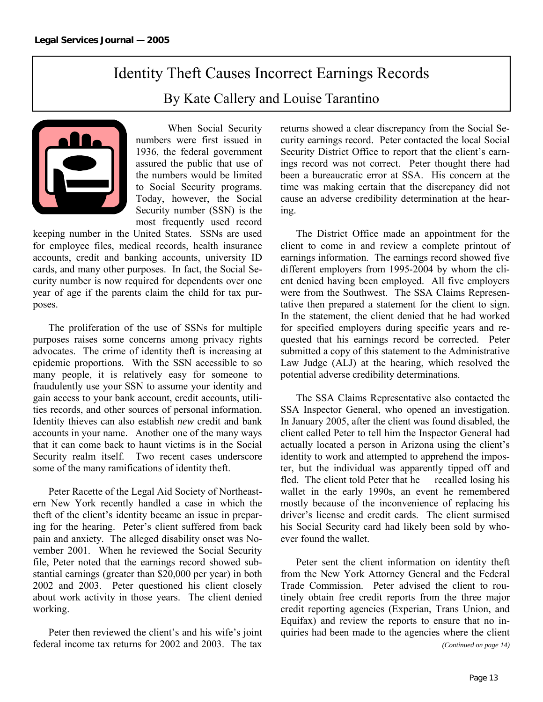### Identity Theft Causes Incorrect Earnings Records By Kate Callery and Louise Tarantino



 When Social Security numbers were first issued in 1936, the federal government assured the public that use of the numbers would be limited to Social Security programs. Today, however, the Social Security number (SSN) is the most frequently used record

keeping number in the United States. SSNs are used for employee files, medical records, health insurance accounts, credit and banking accounts, university ID cards, and many other purposes. In fact, the Social Security number is now required for dependents over one year of age if the parents claim the child for tax purposes.

 The proliferation of the use of SSNs for multiple purposes raises some concerns among privacy rights advocates. The crime of identity theft is increasing at epidemic proportions. With the SSN accessible to so many people, it is relatively easy for someone to fraudulently use your SSN to assume your identity and gain access to your bank account, credit accounts, utilities records, and other sources of personal information. Identity thieves can also establish *new* credit and bank accounts in your name. Another one of the many ways that it can come back to haunt victims is in the Social Security realm itself. Two recent cases underscore some of the many ramifications of identity theft.

 Peter Racette of the Legal Aid Society of Northeastern New York recently handled a case in which the theft of the client's identity became an issue in preparing for the hearing. Peter's client suffered from back pain and anxiety. The alleged disability onset was November 2001. When he reviewed the Social Security file, Peter noted that the earnings record showed substantial earnings (greater than \$20,000 per year) in both 2002 and 2003. Peter questioned his client closely about work activity in those years. The client denied working.

 Peter then reviewed the client's and his wife's joint federal income tax returns for 2002 and 2003. The tax

returns showed a clear discrepancy from the Social Security earnings record. Peter contacted the local Social Security District Office to report that the client's earnings record was not correct. Peter thought there had been a bureaucratic error at SSA. His concern at the time was making certain that the discrepancy did not cause an adverse credibility determination at the hearing.

 The District Office made an appointment for the client to come in and review a complete printout of earnings information. The earnings record showed five different employers from 1995-2004 by whom the client denied having been employed. All five employers were from the Southwest. The SSA Claims Representative then prepared a statement for the client to sign. In the statement, the client denied that he had worked for specified employers during specific years and requested that his earnings record be corrected. Peter submitted a copy of this statement to the Administrative Law Judge (ALJ) at the hearing, which resolved the potential adverse credibility determinations.

 The SSA Claims Representative also contacted the SSA Inspector General, who opened an investigation. In January 2005, after the client was found disabled, the client called Peter to tell him the Inspector General had actually located a person in Arizona using the client's identity to work and attempted to apprehend the imposter, but the individual was apparently tipped off and fled. The client told Peter that he recalled losing his wallet in the early 1990s, an event he remembered mostly because of the inconvenience of replacing his driver's license and credit cards. The client surmised his Social Security card had likely been sold by whoever found the wallet.

 Peter sent the client information on identity theft from the New York Attorney General and the Federal Trade Commission. Peter advised the client to routinely obtain free credit reports from the three major credit reporting agencies (Experian, Trans Union, and Equifax) and review the reports to ensure that no inquiries had been made to the agencies where the client

*(Continued on page 14)*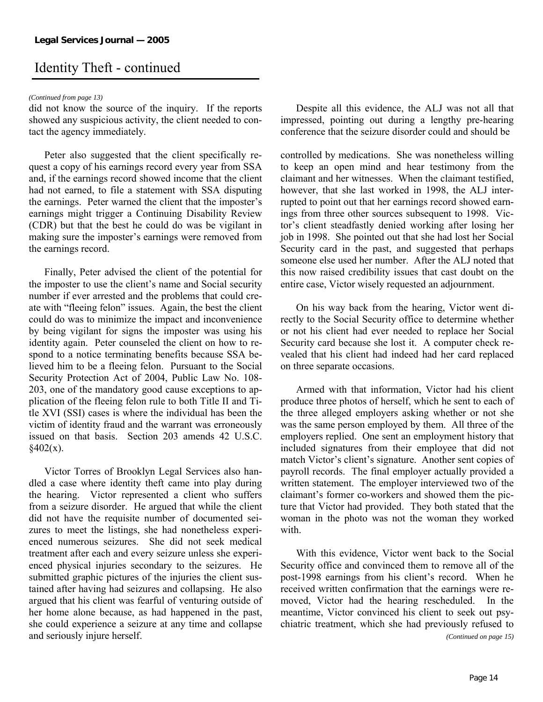### Identity Theft - continued

#### *(Continued from page 13)*

did not know the source of the inquiry. If the reports showed any suspicious activity, the client needed to contact the agency immediately.

 Peter also suggested that the client specifically request a copy of his earnings record every year from SSA and, if the earnings record showed income that the client had not earned, to file a statement with SSA disputing the earnings. Peter warned the client that the imposter's earnings might trigger a Continuing Disability Review (CDR) but that the best he could do was be vigilant in making sure the imposter's earnings were removed from the earnings record.

 Finally, Peter advised the client of the potential for the imposter to use the client's name and Social security number if ever arrested and the problems that could create with "fleeing felon" issues. Again, the best the client could do was to minimize the impact and inconvenience by being vigilant for signs the imposter was using his identity again. Peter counseled the client on how to respond to a notice terminating benefits because SSA believed him to be a fleeing felon. Pursuant to the Social Security Protection Act of 2004, Public Law No. 108- 203, one of the mandatory good cause exceptions to application of the fleeing felon rule to both Title II and Title XVI (SSI) cases is where the individual has been the victim of identity fraud and the warrant was erroneously issued on that basis. Section 203 amends 42 U.S.C.  $§402(x).$ 

 Victor Torres of Brooklyn Legal Services also handled a case where identity theft came into play during the hearing. Victor represented a client who suffers from a seizure disorder. He argued that while the client did not have the requisite number of documented seizures to meet the listings, she had nonetheless experienced numerous seizures. She did not seek medical treatment after each and every seizure unless she experienced physical injuries secondary to the seizures. He submitted graphic pictures of the injuries the client sustained after having had seizures and collapsing. He also argued that his client was fearful of venturing outside of her home alone because, as had happened in the past, she could experience a seizure at any time and collapse and seriously injure herself.

 Despite all this evidence, the ALJ was not all that impressed, pointing out during a lengthy pre-hearing conference that the seizure disorder could and should be

controlled by medications. She was nonetheless willing to keep an open mind and hear testimony from the claimant and her witnesses. When the claimant testified, however, that she last worked in 1998, the ALJ interrupted to point out that her earnings record showed earnings from three other sources subsequent to 1998. Victor's client steadfastly denied working after losing her job in 1998. She pointed out that she had lost her Social Security card in the past, and suggested that perhaps someone else used her number. After the ALJ noted that this now raised credibility issues that cast doubt on the entire case, Victor wisely requested an adjournment.

 On his way back from the hearing, Victor went directly to the Social Security office to determine whether or not his client had ever needed to replace her Social Security card because she lost it. A computer check revealed that his client had indeed had her card replaced on three separate occasions.

 Armed with that information, Victor had his client produce three photos of herself, which he sent to each of the three alleged employers asking whether or not she was the same person employed by them. All three of the employers replied. One sent an employment history that included signatures from their employee that did not match Victor's client's signature. Another sent copies of payroll records. The final employer actually provided a written statement. The employer interviewed two of the claimant's former co-workers and showed them the picture that Victor had provided. They both stated that the woman in the photo was not the woman they worked with.

 With this evidence, Victor went back to the Social Security office and convinced them to remove all of the post-1998 earnings from his client's record. When he received written confirmation that the earnings were removed, Victor had the hearing rescheduled. In the meantime, Victor convinced his client to seek out psychiatric treatment, which she had previously refused to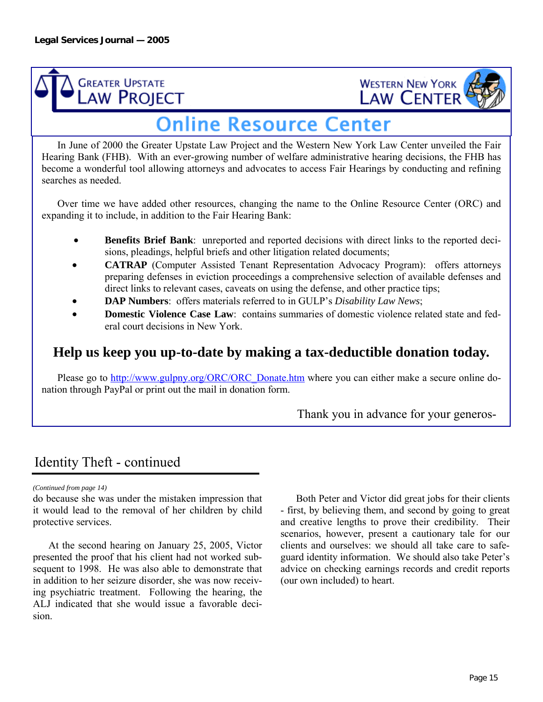



### **Online Resource Center**

 In June of 2000 the Greater Upstate Law Project and the Western New York Law Center unveiled the Fair Hearing Bank (FHB). With an ever-growing number of welfare administrative hearing decisions, the FHB has become a wonderful tool allowing attorneys and advocates to access Fair Hearings by conducting and refining searches as needed.

Over time we have added other resources, changing the name to the Online Resource Center (ORC) and expanding it to include, in addition to the Fair Hearing Bank:

- **Benefits Brief Bank**: unreported and reported decisions with direct links to the reported decisions, pleadings, helpful briefs and other litigation related documents;
- **CATRAP** (Computer Assisted Tenant Representation Advocacy Program): offers attorneys preparing defenses in eviction proceedings a comprehensive selection of available defenses and direct links to relevant cases, caveats on using the defense, and other practice tips;
- **DAP Numbers**: offers materials referred to in GULP's *Disability Law News*;
- **Domestic Violence Case Law:** contains summaries of domestic violence related state and federal court decisions in New York.

### **Help us keep you up-to-date by making a tax-deductible donation today.**

Please go to http://www.gulpny.org/ORC/ORC\_Donate.htm where you can either make a secure online donation through PayPal or print out the mail in donation form.

Thank you in advance for your generos-

### Identity Theft - continued

*(Continued from page 14)* 

do because she was under the mistaken impression that it would lead to the removal of her children by child protective services.

 At the second hearing on January 25, 2005, Victor presented the proof that his client had not worked subsequent to 1998. He was also able to demonstrate that in addition to her seizure disorder, she was now receiving psychiatric treatment. Following the hearing, the ALJ indicated that she would issue a favorable decision.

 Both Peter and Victor did great jobs for their clients - first, by believing them, and second by going to great and creative lengths to prove their credibility. Their scenarios, however, present a cautionary tale for our clients and ourselves: we should all take care to safeguard identity information. We should also take Peter's advice on checking earnings records and credit reports (our own included) to heart.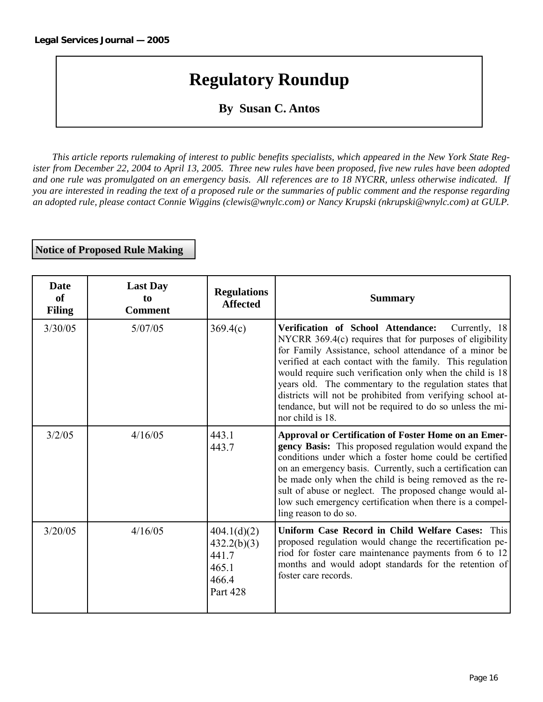### **Regulatory Roundup**

### **By Susan C. Antos**

*This article reports rulemaking of interest to public benefits specialists, which appeared in the New York State Register from December 22, 2004 to April 13, 2005. Three new rules have been proposed, five new rules have been adopted and one rule was promulgated on an emergency basis. All references are to 18 NYCRR, unless otherwise indicated. If you are interested in reading the text of a proposed rule or the summaries of public comment and the response regarding an adopted rule, please contact Connie Wiggins (clewis@wnylc.com) or Nancy Krupski (nkrupski@wnylc.com) at GULP.* 

**Notice of Proposed Rule Making** 

| <b>Date</b><br>of<br><b>Filing</b> | <b>Last Day</b><br>to<br><b>Comment</b> | <b>Regulations</b><br><b>Affected</b>                                    | <b>Summary</b>                                                                                                                                                                                                                                                                                                                                                                                                                                                                                                   |
|------------------------------------|-----------------------------------------|--------------------------------------------------------------------------|------------------------------------------------------------------------------------------------------------------------------------------------------------------------------------------------------------------------------------------------------------------------------------------------------------------------------------------------------------------------------------------------------------------------------------------------------------------------------------------------------------------|
| 3/30/05                            | 5/07/05                                 | 369.4(c)                                                                 | Verification of School Attendance:<br>Currently, 18<br>NYCRR $369.4(c)$ requires that for purposes of eligibility<br>for Family Assistance, school attendance of a minor be<br>verified at each contact with the family. This regulation<br>would require such verification only when the child is 18<br>years old. The commentary to the regulation states that<br>districts will not be prohibited from verifying school at-<br>tendance, but will not be required to do so unless the mi-<br>nor child is 18. |
| 3/2/05                             | 4/16/05                                 | 443.1<br>443.7                                                           | Approval or Certification of Foster Home on an Emer-<br>gency Basis: This proposed regulation would expand the<br>conditions under which a foster home could be certified<br>on an emergency basis. Currently, such a certification can<br>be made only when the child is being removed as the re-<br>sult of abuse or neglect. The proposed change would al-<br>low such emergency certification when there is a compel-<br>ling reason to do so.                                                               |
| 3/20/05                            | 4/16/05                                 | 404.1(d)(2)<br>432.2(b)(3)<br>441.7<br>465.1<br>466.4<br><b>Part 428</b> | Uniform Case Record in Child Welfare Cases: This<br>proposed regulation would change the recertification pe-<br>riod for foster care maintenance payments from 6 to 12<br>months and would adopt standards for the retention of<br>foster care records.                                                                                                                                                                                                                                                          |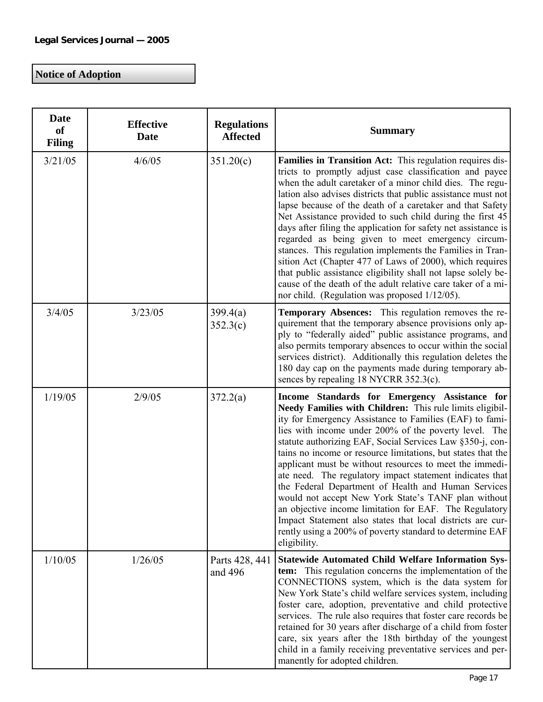### **Notice of Adoption**

| <b>Date</b><br>of<br><b>Filing</b> | <b>Effective</b><br><b>Date</b> | <b>Regulations</b><br><b>Affected</b> | <b>Summary</b>                                                                                                                                                                                                                                                                                                                                                                                                                                                                                                                                                                                                                                                                                                                                                                                                 |
|------------------------------------|---------------------------------|---------------------------------------|----------------------------------------------------------------------------------------------------------------------------------------------------------------------------------------------------------------------------------------------------------------------------------------------------------------------------------------------------------------------------------------------------------------------------------------------------------------------------------------------------------------------------------------------------------------------------------------------------------------------------------------------------------------------------------------------------------------------------------------------------------------------------------------------------------------|
| 3/21/05                            | 4/6/05                          | 351.20(c)                             | Families in Transition Act: This regulation requires dis-<br>tricts to promptly adjust case classification and payee<br>when the adult caretaker of a minor child dies. The regu-<br>lation also advises districts that public assistance must not<br>lapse because of the death of a caretaker and that Safety<br>Net Assistance provided to such child during the first 45<br>days after filing the application for safety net assistance is<br>regarded as being given to meet emergency circum-<br>stances. This regulation implements the Families in Tran-<br>sition Act (Chapter 477 of Laws of 2000), which requires<br>that public assistance eligibility shall not lapse solely be-<br>cause of the death of the adult relative care taker of a mi-<br>nor child. (Regulation was proposed 1/12/05). |
| 3/4/05                             | 3/23/05                         | 399.4(a)<br>352.3(c)                  | <b>Temporary Absences:</b> This regulation removes the re-<br>quirement that the temporary absence provisions only ap-<br>ply to "federally aided" public assistance programs, and<br>also permits temporary absences to occur within the social<br>services district). Additionally this regulation deletes the<br>180 day cap on the payments made during temporary ab-<br>sences by repealing 18 NYCRR 352.3(c).                                                                                                                                                                                                                                                                                                                                                                                            |
| 1/19/05                            | 2/9/05                          | 372.2(a)                              | Income Standards for Emergency Assistance for<br>Needy Families with Children: This rule limits eligibil-<br>ity for Emergency Assistance to Families (EAF) to fami-<br>lies with income under 200% of the poverty level. The<br>statute authorizing EAF, Social Services Law §350-j, con-<br>tains no income or resource limitations, but states that the<br>applicant must be without resources to meet the immedi-<br>ate need. The regulatory impact statement indicates that<br>the Federal Department of Health and Human Services<br>would not accept New York State's TANF plan without<br>an objective income limitation for EAF. The Regulatory<br>Impact Statement also states that local districts are cur-<br>rently using a 200% of poverty standard to determine EAF<br>eligibility.            |
| 1/10/05                            | 1/26/05                         | Parts 428, 441<br>and 496             | <b>Statewide Automated Child Welfare Information Sys-</b><br>tem: This regulation concerns the implementation of the<br>CONNECTIONS system, which is the data system for<br>New York State's child welfare services system, including<br>foster care, adoption, preventative and child protective<br>services. The rule also requires that foster care records be<br>retained for 30 years after discharge of a child from foster<br>care, six years after the 18th birthday of the youngest<br>child in a family receiving preventative services and per-<br>manently for adopted children.                                                                                                                                                                                                                   |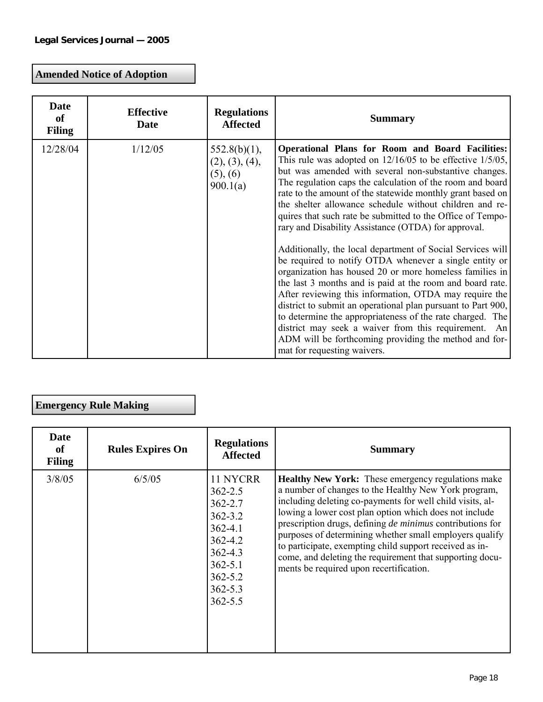### **Amended Notice of Adoption**

| <b>Date</b><br>of<br><b>Filing</b> | <b>Effective</b><br><b>Date</b> | <b>Regulations</b><br><b>Affected</b>                     | <b>Summary</b>                                                                                                                                                                                                                                                                                                                                                                                                                                                                                                                                                                                                                                                                                                                                                                                                                                                                                                                                                                                                                                                                       |
|------------------------------------|---------------------------------|-----------------------------------------------------------|--------------------------------------------------------------------------------------------------------------------------------------------------------------------------------------------------------------------------------------------------------------------------------------------------------------------------------------------------------------------------------------------------------------------------------------------------------------------------------------------------------------------------------------------------------------------------------------------------------------------------------------------------------------------------------------------------------------------------------------------------------------------------------------------------------------------------------------------------------------------------------------------------------------------------------------------------------------------------------------------------------------------------------------------------------------------------------------|
| 12/28/04                           | 1/12/05                         | $552.8(b)(1)$ ,<br>(2), (3), (4),<br>(5), (6)<br>900.1(a) | <b>Operational Plans for Room and Board Facilities:</b><br>This rule was adopted on $12/16/05$ to be effective $1/5/05$ ,<br>but was amended with several non-substantive changes.<br>The regulation caps the calculation of the room and board<br>rate to the amount of the statewide monthly grant based on<br>the shelter allowance schedule without children and re-<br>quires that such rate be submitted to the Office of Tempo-<br>rary and Disability Assistance (OTDA) for approval.<br>Additionally, the local department of Social Services will<br>be required to notify OTDA whenever a single entity or<br>organization has housed 20 or more homeless families in<br>the last 3 months and is paid at the room and board rate.<br>After reviewing this information, OTDA may require the<br>district to submit an operational plan pursuant to Part 900,<br>to determine the appropriateness of the rate charged. The<br>district may seek a waiver from this requirement. An<br>ADM will be forthcoming providing the method and for-<br>mat for requesting waivers. |

### **Emergency Rule Making**

| <b>Date</b><br>of<br><b>Filing</b> | <b>Rules Expires On</b> | <b>Regulations</b><br><b>Affected</b>                                                                                                                          | <b>Summary</b>                                                                                                                                                                                                                                                                                                                                                                                                                                                                                                                            |
|------------------------------------|-------------------------|----------------------------------------------------------------------------------------------------------------------------------------------------------------|-------------------------------------------------------------------------------------------------------------------------------------------------------------------------------------------------------------------------------------------------------------------------------------------------------------------------------------------------------------------------------------------------------------------------------------------------------------------------------------------------------------------------------------------|
| 3/8/05                             | 6/5/05                  | 11 NYCRR<br>$362 - 2.5$<br>$362 - 2.7$<br>$362 - 3.2$<br>$362 - 4.1$<br>$362 - 4.2$<br>$362 - 4.3$<br>$362 - 5.1$<br>$362 - 5.2$<br>$362 - 5.3$<br>$362 - 5.5$ | <b>Healthy New York:</b> These emergency regulations make<br>a number of changes to the Healthy New York program,<br>including deleting co-payments for well child visits, al-<br>lowing a lower cost plan option which does not include<br>prescription drugs, defining <i>de minimus</i> contributions for<br>purposes of determining whether small employers qualify<br>to participate, exempting child support received as in-<br>come, and deleting the requirement that supporting docu-<br>ments be required upon recertification. |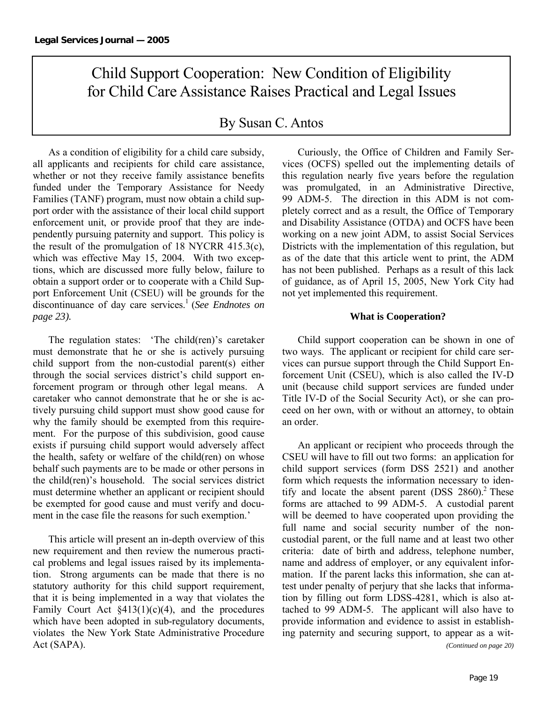### Child Support Cooperation: New Condition of Eligibility for Child Care Assistance Raises Practical and Legal Issues

### By Susan C. Antos

 As a condition of eligibility for a child care subsidy, all applicants and recipients for child care assistance, whether or not they receive family assistance benefits funded under the Temporary Assistance for Needy Families (TANF) program, must now obtain a child support order with the assistance of their local child support enforcement unit, or provide proof that they are independently pursuing paternity and support. This policy is the result of the promulgation of 18 NYCRR 415.3(c), which was effective May 15, 2004. With two exceptions, which are discussed more fully below, failure to obtain a support order or to cooperate with a Child Support Enforcement Unit (CSEU) will be grounds for the discontinuance of day care services.<sup>1</sup> (*See Endnotes on page 23).* 

 The regulation states: 'The child(ren)'s caretaker must demonstrate that he or she is actively pursuing child support from the non-custodial parent(s) either through the social services district's child support enforcement program or through other legal means. A caretaker who cannot demonstrate that he or she is actively pursuing child support must show good cause for why the family should be exempted from this requirement. For the purpose of this subdivision, good cause exists if pursuing child support would adversely affect the health, safety or welfare of the child(ren) on whose behalf such payments are to be made or other persons in the child(ren)'s household. The social services district must determine whether an applicant or recipient should be exempted for good cause and must verify and document in the case file the reasons for such exemption.'

 This article will present an in-depth overview of this new requirement and then review the numerous practical problems and legal issues raised by its implementation. Strong arguments can be made that there is no statutory authority for this child support requirement, that it is being implemented in a way that violates the Family Court Act  $\S413(1)(c)(4)$ , and the procedures which have been adopted in sub-regulatory documents, violates the New York State Administrative Procedure Act (SAPA).

 Curiously, the Office of Children and Family Services (OCFS) spelled out the implementing details of this regulation nearly five years before the regulation was promulgated, in an Administrative Directive, 99 ADM-5. The direction in this ADM is not completely correct and as a result, the Office of Temporary and Disability Assistance (OTDA) and OCFS have been working on a new joint ADM, to assist Social Services Districts with the implementation of this regulation, but as of the date that this article went to print, the ADM has not been published. Perhaps as a result of this lack of guidance, as of April 15, 2005, New York City had not yet implemented this requirement.

#### **What is Cooperation?**

 Child support cooperation can be shown in one of two ways. The applicant or recipient for child care services can pursue support through the Child Support Enforcement Unit (CSEU), which is also called the IV-D unit (because child support services are funded under Title IV-D of the Social Security Act), or she can proceed on her own, with or without an attorney, to obtain an order.

 An applicant or recipient who proceeds through the CSEU will have to fill out two forms: an application for child support services (form DSS 2521) and another form which requests the information necessary to identify and locate the absent parent  $(DSS 2860)^2$ . These forms are attached to 99 ADM-5. A custodial parent will be deemed to have cooperated upon providing the full name and social security number of the noncustodial parent, or the full name and at least two other criteria: date of birth and address, telephone number, name and address of employer, or any equivalent information. If the parent lacks this information, she can attest under penalty of perjury that she lacks that information by filling out form LDSS-4281, which is also attached to 99 ADM-5. The applicant will also have to provide information and evidence to assist in establishing paternity and securing support, to appear as a wit- *(Continued on page 20)*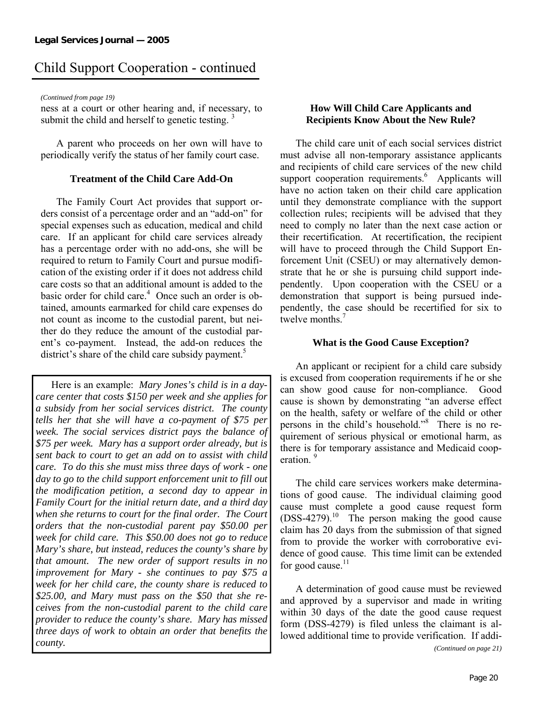*(Continued from page 19)* 

ness at a court or other hearing and, if necessary, to submit the child and herself to genetic testing.  $3$ 

 A parent who proceeds on her own will have to periodically verify the status of her family court case.

#### **Treatment of the Child Care Add-On**

 The Family Court Act provides that support orders consist of a percentage order and an "add-on" for special expenses such as education, medical and child care. If an applicant for child care services already has a percentage order with no add-ons, she will be required to return to Family Court and pursue modification of the existing order if it does not address child care costs so that an additional amount is added to the basic order for child care.<sup>4</sup> Once such an order is obtained, amounts earmarked for child care expenses do not count as income to the custodial parent, but neither do they reduce the amount of the custodial parent's co-payment. Instead, the add-on reduces the district's share of the child care subsidy payment.<sup>5</sup>

 Here is an example: *Mary Jones's child is in a daycare center that costs \$150 per week and she applies for a subsidy from her social services district. The county tells her that she will have a co-payment of \$75 per week. The social services district pays the balance of \$75 per week. Mary has a support order already, but is sent back to court to get an add on to assist with child care. To do this she must miss three days of work - one*  day to go to the child support enforcement unit to fill out *the modification petition, a second day to appear in Family Court for the initial return date, and a third day when she returns to court for the final order. The Court orders that the non-custodial parent pay \$50.00 per week for child care. This \$50.00 does not go to reduce Mary's share, but instead, reduces the county's share by that amount. The new order of support results in no improvement for Mary - she continues to pay \$75 a week for her child care, the county share is reduced to \$25.00, and Mary must pass on the \$50 that she receives from the non-custodial parent to the child care provider to reduce the county's share. Mary has missed three days of work to obtain an order that benefits the county.* 

### **How Will Child Care Applicants and Recipients Know About the New Rule?**

 The child care unit of each social services district must advise all non-temporary assistance applicants and recipients of child care services of the new child support cooperation requirements.<sup>6</sup> Applicants will have no action taken on their child care application until they demonstrate compliance with the support collection rules; recipients will be advised that they need to comply no later than the next case action or their recertification. At recertification, the recipient will have to proceed through the Child Support Enforcement Unit (CSEU) or may alternatively demonstrate that he or she is pursuing child support independently. Upon cooperation with the CSEU or a demonstration that support is being pursued independently, the case should be recertified for six to twelve months<sup>7</sup>

#### **What is the Good Cause Exception?**

 An applicant or recipient for a child care subsidy is excused from cooperation requirements if he or she can show good cause for non-compliance. Good cause is shown by demonstrating "an adverse effect on the health, safety or welfare of the child or other persons in the child's household."<sup>8</sup> There is no requirement of serious physical or emotional harm, as there is for temporary assistance and Medicaid cooperation.<sup>9</sup>

 The child care services workers make determinations of good cause. The individual claiming good cause must complete a good cause request form  $(DSS-4279)$ <sup>10</sup> The person making the good cause claim has 20 days from the submission of that signed from to provide the worker with corroborative evidence of good cause. This time limit can be extended for good cause. $11$ 

 A determination of good cause must be reviewed and approved by a supervisor and made in writing within 30 days of the date the good cause request form (DSS-4279) is filed unless the claimant is allowed additional time to provide verification. If addi-

*(Continued on page 21)*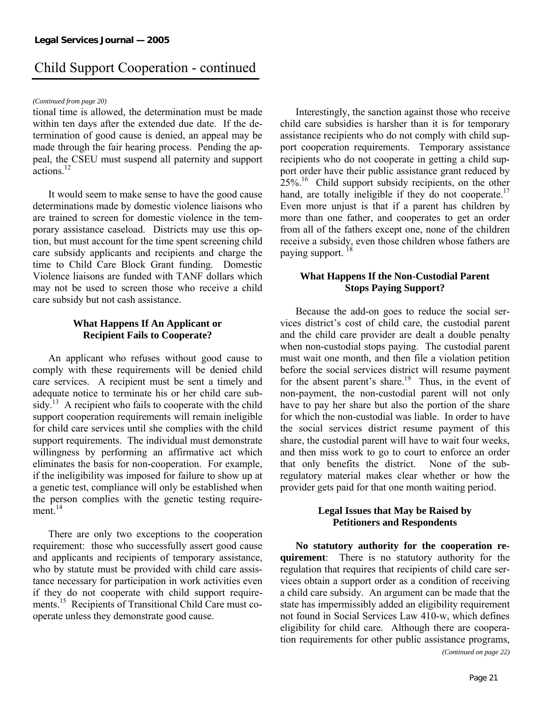#### *(Continued from page 20)*

tional time is allowed, the determination must be made within ten days after the extended due date. If the determination of good cause is denied, an appeal may be made through the fair hearing process. Pending the appeal, the CSEU must suspend all paternity and support actions $12$ 

 It would seem to make sense to have the good cause determinations made by domestic violence liaisons who are trained to screen for domestic violence in the temporary assistance caseload. Districts may use this option, but must account for the time spent screening child care subsidy applicants and recipients and charge the time to Child Care Block Grant funding. Domestic Violence liaisons are funded with TANF dollars which may not be used to screen those who receive a child care subsidy but not cash assistance.

#### **What Happens If An Applicant or Recipient Fails to Cooperate?**

 An applicant who refuses without good cause to comply with these requirements will be denied child care services. A recipient must be sent a timely and adequate notice to terminate his or her child care subsidy.<sup>13</sup> A recipient who fails to cooperate with the child support cooperation requirements will remain ineligible for child care services until she complies with the child support requirements. The individual must demonstrate willingness by performing an affirmative act which eliminates the basis for non-cooperation. For example, if the ineligibility was imposed for failure to show up at a genetic test, compliance will only be established when the person complies with the genetic testing requirement $14$ 

 There are only two exceptions to the cooperation requirement: those who successfully assert good cause and applicants and recipients of temporary assistance, who by statute must be provided with child care assistance necessary for participation in work activities even if they do not cooperate with child support requirements.<sup>15</sup> Recipients of Transitional Child Care must cooperate unless they demonstrate good cause.

 Interestingly, the sanction against those who receive child care subsidies is harsher than it is for temporary assistance recipients who do not comply with child support cooperation requirements. Temporary assistance recipients who do not cooperate in getting a child support order have their public assistance grant reduced by  $25\%$ .<sup>16</sup> Child support subsidy recipients, on the other hand, are totally ineligible if they do not cooperate.<sup>17</sup> Even more unjust is that if a parent has children by more than one father, and cooperates to get an order from all of the fathers except one, none of the children receive a subsidy, even those children whose fathers are paying support. <sup>18</sup>

#### **What Happens If the Non-Custodial Parent Stops Paying Support?**

Because the add-on goes to reduce the social services district's cost of child care, the custodial parent and the child care provider are dealt a double penalty when non-custodial stops paying. The custodial parent must wait one month, and then file a violation petition before the social services district will resume payment for the absent parent's share.<sup>19</sup> Thus, in the event of non-payment, the non-custodial parent will not only have to pay her share but also the portion of the share for which the non-custodial was liable. In order to have the social services district resume payment of this share, the custodial parent will have to wait four weeks, and then miss work to go to court to enforce an order that only benefits the district. None of the subregulatory material makes clear whether or how the provider gets paid for that one month waiting period.

#### **Legal Issues that May be Raised by Petitioners and Respondents**

 **No statutory authority for the cooperation requirement**: There is no statutory authority for the regulation that requires that recipients of child care services obtain a support order as a condition of receiving a child care subsidy. An argument can be made that the state has impermissibly added an eligibility requirement not found in Social Services Law 410-w, which defines eligibility for child care*.* Although there are cooperation requirements for other public assistance programs,

*(Continued on page 22)*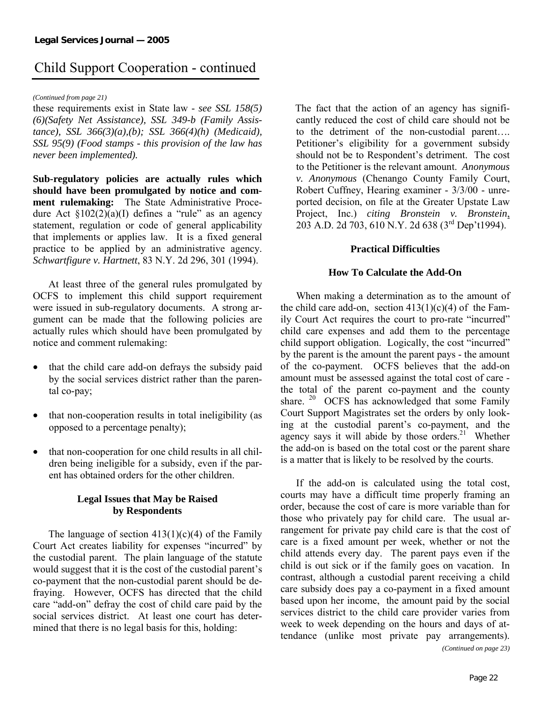#### *(Continued from page 21)*

these requirements exist in State law - *see SSL 158(5) (6)(Safety Net Assistance), SSL 349-b (Family Assistance), SSL 366(3)(a),(b); SSL 366(4)(h) (Medicaid), SSL 95(9) (Food stamps - this provision of the law has never been implemented).*

**Sub-regulatory policies are actually rules which should have been promulgated by notice and comment rulemaking:** The State Administrative Procedure Act  $\S 102(2)(a)(I)$  defines a "rule" as an agency statement, regulation or code of general applicability that implements or applies law. It is a fixed general practice to be applied by an administrative agency. *Schwartfigure v. Hartnett*, 83 N.Y. 2d 296, 301 (1994).

 At least three of the general rules promulgated by OCFS to implement this child support requirement were issued in sub-regulatory documents. A strong argument can be made that the following policies are actually rules which should have been promulgated by notice and comment rulemaking:

- that the child care add-on defrays the subsidy paid by the social services district rather than the parental co-pay;
- that non-cooperation results in total ineligibility (as opposed to a percentage penalty);
- that non-cooperation for one child results in all children being ineligible for a subsidy, even if the parent has obtained orders for the other children.

### **Legal Issues that May be Raised by Respondents**

The language of section  $413(1)(c)(4)$  of the Family Court Act creates liability for expenses "incurred" by the custodial parent. The plain language of the statute would suggest that it is the cost of the custodial parent's co-payment that the non-custodial parent should be defraying. However, OCFS has directed that the child care "add-on" defray the cost of child care paid by the social services district. At least one court has determined that there is no legal basis for this, holding:

The fact that the action of an agency has significantly reduced the cost of child care should not be to the detriment of the non-custodial parent…. Petitioner's eligibility for a government subsidy should not be to Respondent's detriment. The cost to the Petitioner is the relevant amount. *Anonymous v. Anonymous* (Chenango County Family Court, Robert Cuffney, Hearing examiner - 3/3/00 - unreported decision, on file at the Greater Upstate Law Project, Inc.) *citing Bronstein v. Bronstein*, 203 A.D. 2d 703, 610 N.Y. 2d 638 (3rd Dep't1994).

### **Practical Difficulties**

#### **How To Calculate the Add-On**

 When making a determination as to the amount of the child care add-on, section  $413(1)(c)(4)$  of the Family Court Act requires the court to pro-rate "incurred" child care expenses and add them to the percentage child support obligation. Logically, the cost "incurred" by the parent is the amount the parent pays - the amount of the co-payment. OCFS believes that the add-on amount must be assessed against the total cost of care the total of the parent co-payment and the county share. <sup>20</sup> OCFS has acknowledged that some Family Court Support Magistrates set the orders by only looking at the custodial parent's co-payment, and the agency says it will abide by those orders. $21$  Whether the add-on is based on the total cost or the parent share is a matter that is likely to be resolved by the courts.

 If the add-on is calculated using the total cost, courts may have a difficult time properly framing an order, because the cost of care is more variable than for those who privately pay for child care. The usual arrangement for private pay child care is that the cost of care is a fixed amount per week, whether or not the child attends every day. The parent pays even if the child is out sick or if the family goes on vacation. In contrast, although a custodial parent receiving a child care subsidy does pay a co-payment in a fixed amount based upon her income, the amount paid by the social services district to the child care provider varies from week to week depending on the hours and days of attendance (unlike most private pay arrangements).

*(Continued on page 23)*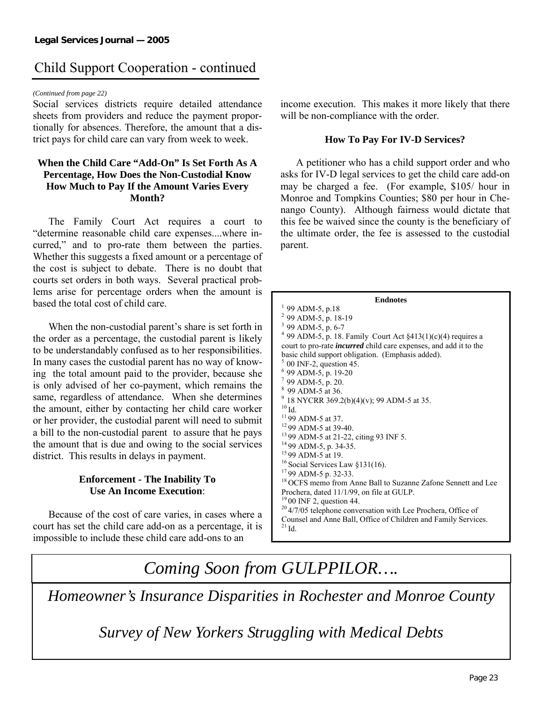#### *(Continued from page 22)*

Social services districts require detailed attendance sheets from providers and reduce the payment proportionally for absences. Therefore, the amount that a district pays for child care can vary from week to week.

#### **When the Child Care "Add-On" Is Set Forth As A Percentage, How Does the Non-Custodial Know How Much to Pay If the Amount Varies Every Month?**

The Family Court Act requires a court to "determine reasonable child care expenses....where incurred," and to pro-rate them between the parties. Whether this suggests a fixed amount or a percentage of the cost is subject to debate. There is no doubt that courts set orders in both ways. Several practical problems arise for percentage orders when the amount is based the total cost of child care.

When the non-custodial parent's share is set forth in the order as a percentage, the custodial parent is likely to be understandably confused as to her responsibilities. In many cases the custodial parent has no way of knowing the total amount paid to the provider, because she is only advised of her co-payment, which remains the same, regardless of attendance. When she determines the amount, either by contacting her child care worker or her provider, the custodial parent will need to submit a bill to the non-custodial parent to assure that he pays the amount that is due and owing to the social services district. This results in delays in payment.

### **Enforcement - The Inability To Use An Income Execution**:

 Because of the cost of care varies, in cases where a court has set the child care add-on as a percentage, it is impossible to include these child care add-ons to an

income execution. This makes it more likely that there will be non-compliance with the order.

#### **How To Pay For IV-D Services?**

 A petitioner who has a child support order and who asks for IV-D legal services to get the child care add-on may be charged a fee. (For example, \$105/ hour in Monroe and Tompkins Counties; \$80 per hour in Chenango County). Although fairness would dictate that this fee be waived since the county is the beneficiary of the ultimate order, the fee is assessed to the custodial parent.

| <b>Endnotes</b>                                                               |
|-------------------------------------------------------------------------------|
| $1$ 99 ADM-5, p.18                                                            |
| <sup>2</sup> 99 ADM-5, p. 18-19                                               |
| <sup>3</sup> 99 ADM-5, p. 6-7                                                 |
| <sup>4</sup> 99 ADM-5, p. 18. Family Court Act $\S413(1)(c)(4)$ requires a    |
| court to pro-rate <i>incurred</i> child care expenses, and add it to the      |
| basic child support obligation. (Emphasis added).                             |
| $5$ 00 INF-2, question 45.                                                    |
| <sup>6</sup> 99 ADM-5, p. 19-20                                               |
| $7$ 99 ADM-5, p. 20.                                                          |
| <sup>8</sup> 99 ADM-5 at 36.                                                  |
| <sup>9</sup> 18 NYCRR 369.2(b)(4)(v); 99 ADM-5 at 35.                         |
| $10$ Id.                                                                      |
| $11$ 99 ADM-5 at 37.                                                          |
| <sup>12</sup> 99 ADM-5 at 39-40.                                              |
| <sup>13</sup> 99 ADM-5 at 21-22, citing 93 INF 5.                             |
| <sup>14</sup> 99 ADM-5, p. 34-35.                                             |
| <sup>15</sup> 99 ADM-5 at 19.                                                 |
| <sup>16</sup> Social Services Law $§131(16)$ .                                |
| <sup>17</sup> 99 ADM-5 p. 32-33.                                              |
| <sup>18</sup> OCFS memo from Anne Ball to Suzanne Zafone Sennett and Lee      |
| Prochera, dated 11/1/99, on file at GULP.                                     |
| $1900$ INF 2, question 44.                                                    |
| $20\frac{4}{705}$ telephone conversation with Lee Prochera, Office of         |
| Counsel and Anne Ball, Office of Children and Family Services.<br>$^{21}$ Id. |

### *Coming Soon from GULPPILOR….*

*Homeowner's Insurance Disparities in Rochester and Monroe County* 

*Survey of New Yorkers Struggling with Medical Debts*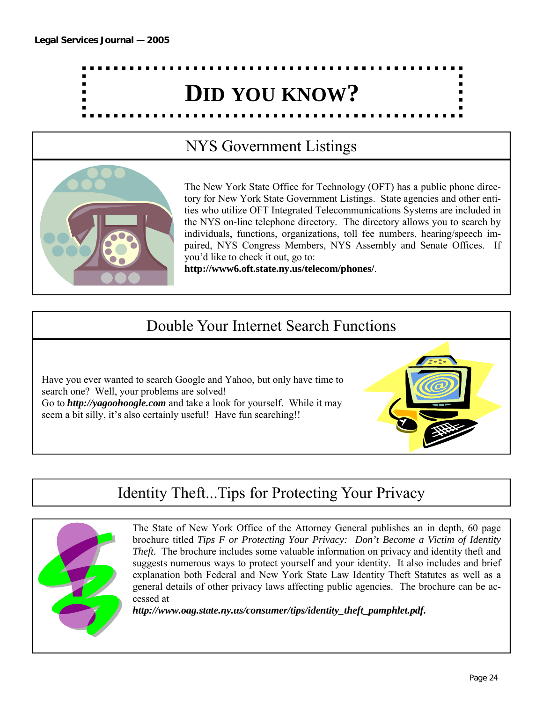

### NYS Government Listings



The New York State Office for Technology (OFT) has a public phone directory for New York State Government Listings. State agencies and other entities who utilize OFT Integrated Telecommunications Systems are included in the NYS on-line telephone directory. The directory allows you to search by individuals, functions, organizations, toll fee numbers, hearing/speech impaired, NYS Congress Members, NYS Assembly and Senate Offices. If you'd like to check it out, go to:

**http://www6.oft.state.ny.us/telecom/phones/**.

### Double Your Internet Search Functions

Have you ever wanted to search Google and Yahoo, but only have time to search one? Well, your problems are solved! Go to *http://yagoohoogle.com* and take a look for yourself. While it may seem a bit silly, it's also certainly useful! Have fun searching!!

### Identity Theft...Tips for Protecting Your Privacy



The State of New York Office of the Attorney General publishes an in depth, 60 page brochure titled *Tips F or Protecting Your Privacy: Don't Become a Victim of Identity Theft.* The brochure includes some valuable information on privacy and identity theft and suggests numerous ways to protect yourself and your identity. It also includes and brief explanation both Federal and New York State Law Identity Theft Statutes as well as a general details of other privacy laws affecting public agencies. The brochure can be accessed at

*http://www.oag.state.ny.us/consumer/tips/identity\_theft\_pamphlet.pdf.*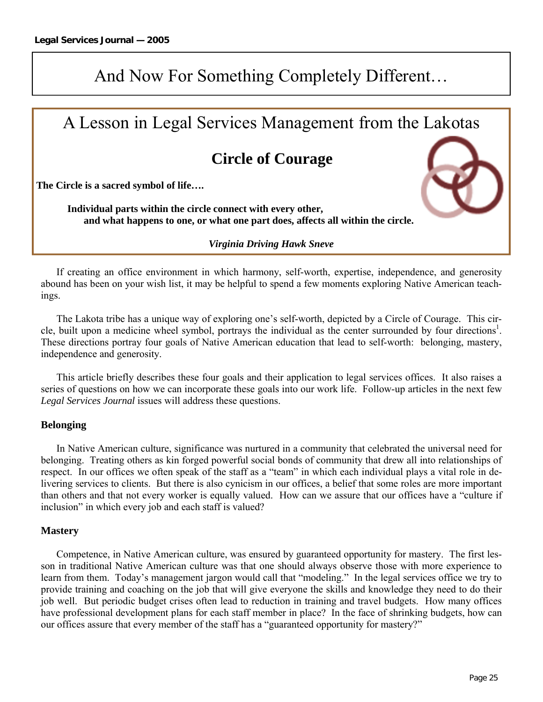### And Now For Something Completely Different…

### A Lesson in Legal Services Management from the Lakotas

### **Circle of Courage**

**The Circle is a sacred symbol of life….** 

 **Individual parts within the circle connect with every other, and what happens to one, or what one part does, affects all within the circle.** 

#### *Virginia Driving Hawk Sneve*

 If creating an office environment in which harmony, self-worth, expertise, independence, and generosity abound has been on your wish list, it may be helpful to spend a few moments exploring Native American teachings.

 The Lakota tribe has a unique way of exploring one's self-worth, depicted by a Circle of Courage. This circle, built upon a medicine wheel symbol, portrays the individual as the center surrounded by four directions<sup>1</sup>. These directions portray four goals of Native American education that lead to self-worth: belonging, mastery, independence and generosity.

 This article briefly describes these four goals and their application to legal services offices. It also raises a series of questions on how we can incorporate these goals into our work life. Follow-up articles in the next few *Legal Services Journal* issues will address these questions.

#### **Belonging**

 In Native American culture, significance was nurtured in a community that celebrated the universal need for belonging. Treating others as kin forged powerful social bonds of community that drew all into relationships of respect. In our offices we often speak of the staff as a "team" in which each individual plays a vital role in delivering services to clients. But there is also cynicism in our offices, a belief that some roles are more important than others and that not every worker is equally valued. How can we assure that our offices have a "culture if inclusion" in which every job and each staff is valued?

#### **Mastery**

 Competence, in Native American culture, was ensured by guaranteed opportunity for mastery. The first lesson in traditional Native American culture was that one should always observe those with more experience to learn from them. Today's management jargon would call that "modeling." In the legal services office we try to provide training and coaching on the job that will give everyone the skills and knowledge they need to do their job well. But periodic budget crises often lead to reduction in training and travel budgets. How many offices have professional development plans for each staff member in place? In the face of shrinking budgets, how can our offices assure that every member of the staff has a "guaranteed opportunity for mastery?"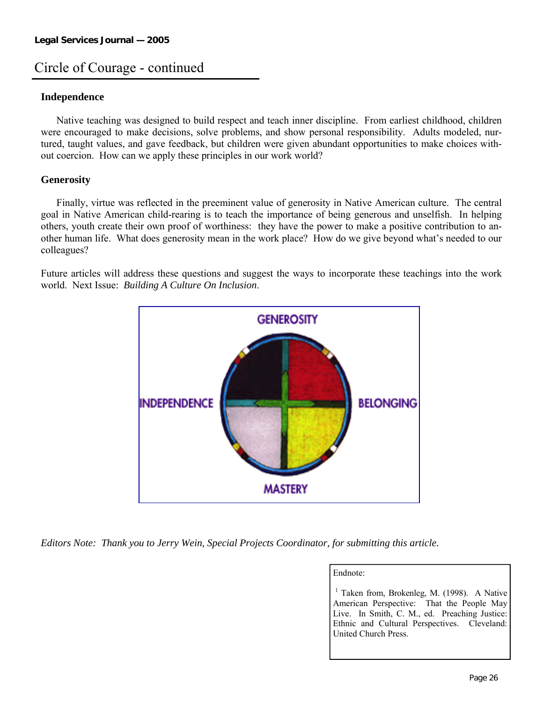### Circle of Courage - continued

#### **Independence**

 Native teaching was designed to build respect and teach inner discipline. From earliest childhood, children were encouraged to make decisions, solve problems, and show personal responsibility. Adults modeled, nurtured, taught values, and gave feedback, but children were given abundant opportunities to make choices without coercion. How can we apply these principles in our work world?

#### **Generosity**

 Finally, virtue was reflected in the preeminent value of generosity in Native American culture. The central goal in Native American child-rearing is to teach the importance of being generous and unselfish. In helping others, youth create their own proof of worthiness: they have the power to make a positive contribution to another human life. What does generosity mean in the work place? How do we give beyond what's needed to our colleagues?

Future articles will address these questions and suggest the ways to incorporate these teachings into the work world. Next Issue: *Building A Culture On Inclusion*.



*Editors Note: Thank you to Jerry Wein, Special Projects Coordinator, for submitting this article.* 

#### Endnote:

 $<sup>1</sup>$  Taken from, Brokenleg, M. (1998). A Native</sup> American Perspective: That the People May Live. In Smith, C. M., ed. Preaching Justice: Ethnic and Cultural Perspectives. Cleveland: United Church Press.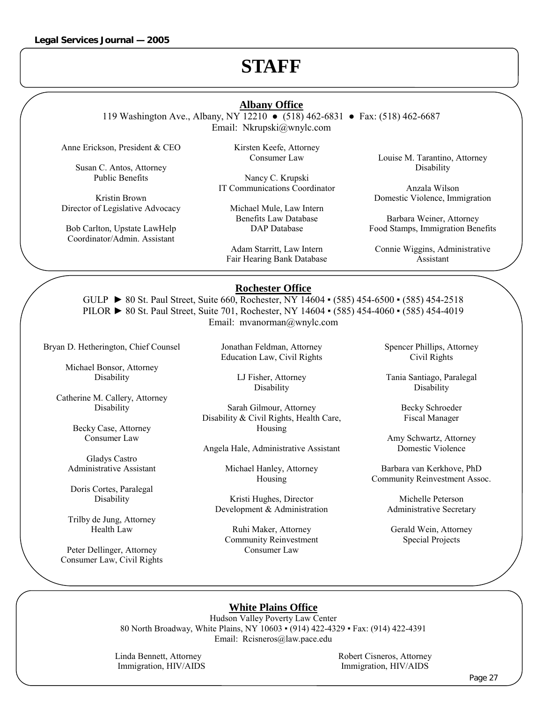### **STAFF**

#### **Albany Office**

119 Washington Ave., Albany, NY 12210 ● (518) 462-6831 ● Fax: (518) 462-6687 Email: Nkrupski@wnylc.com

Anne Erickson, President & CEO

Susan C. Antos, Attorney Public Benefits

Kristin Brown Director of Legislative Advocacy

Bob Carlton, Upstate LawHelp Coordinator/Admin. Assistant

Kirsten Keefe, Attorney Consumer Law

Nancy C. Krupski IT Communications Coordinator

Michael Mule, Law Intern Benefits Law Database DAP Database

Adam Starritt, Law Intern Fair Hearing Bank Database Louise M. Tarantino, Attorney Disability

Anzala Wilson Domestic Violence, Immigration

Barbara Weiner, Attorney Food Stamps, Immigration Benefits

Connie Wiggins, Administrative Assistant

#### **Rochester Office**

GULP ► 80 St. Paul Street, Suite 660, Rochester, NY 14604 ▪ (585) 454-6500 ▪ (585) 454-2518 PILOR ► 80 St. Paul Street, Suite 701, Rochester, NY 14604 ▪ (585) 454-4060 ▪ (585) 454-4019 Email: mvanorman@wnylc.com

Bryan D. Hetherington, Chief Counsel

Michael Bonsor, Attorney Disability

Catherine M. Callery, Attorney Disability

> Becky Case, Attorney Consumer Law

Gladys Castro Administrative Assistant

Doris Cortes, Paralegal Disability

Trilby de Jung, Attorney Health Law

Peter Dellinger, Attorney Consumer Law, Civil Rights Jonathan Feldman, Attorney Education Law, Civil Rights

> LJ Fisher, Attorney Disability

Sarah Gilmour, Attorney Disability & Civil Rights, Health Care, Housing

Angela Hale, Administrative Assistant

Michael Hanley, Attorney Housing

Kristi Hughes, Director Development & Administration

Ruhi Maker, Attorney Community Reinvestment Consumer Law

Spencer Phillips, Attorney Civil Rights

Tania Santiago, Paralegal Disability

> Becky Schroeder Fiscal Manager

Amy Schwartz, Attorney Domestic Violence

Barbara van Kerkhove, PhD Community Reinvestment Assoc.

> Michelle Peterson Administrative Secretary

Gerald Wein, Attorney Special Projects

#### **White Plains Office**

Hudson Valley Poverty Law Center 80 North Broadway, White Plains, NY 10603 ▪ (914) 422-4329 ▪ Fax: (914) 422-4391 Email: Rcisneros@law.pace.edu

Linda Bennett, Attorney Robert Cisneros, Attorney Immigration, HIV/AIDS Immigration, HIV/AIDS